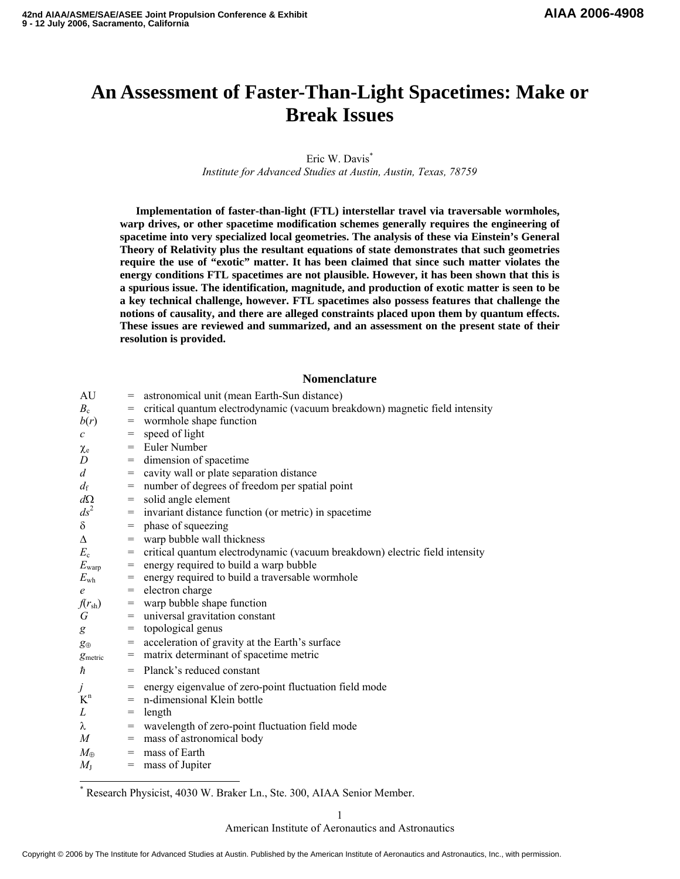# **An Assessment of Faster-Than-Light Spacetimes: Make or Break Issues**

Eric W. Davis[\\*](#page-0-0)

*Institute for Advanced Studies at Austin, Austin, Texas, 78759*

**Implementation of faster-than-light (FTL) interstellar travel via traversable wormholes, warp drives, or other spacetime modification schemes generally requires the engineering of spacetime into very specialized local geometries. The analysis of these via Einstein's General Theory of Relativity plus the resultant equations of state demonstrates that such geometries require the use of "exotic" matter. It has been claimed that since such matter violates the energy conditions FTL spacetimes are not plausible. However, it has been shown that this is a spurious issue. The identification, magnitude, and production of exotic matter is seen to be a key technical challenge, however. FTL spacetimes also possess features that challenge the notions of causality, and there are alleged constraints placed upon them by quantum effects. These issues are reviewed and summarized, and an assessment on the present state of their resolution is provided.** 

# **Nomenclature**

| AU                          |     | = astronomical unit (mean Earth-Sun distance)                                 |
|-----------------------------|-----|-------------------------------------------------------------------------------|
| $B_c$                       | =   | critical quantum electrodynamic (vacuum breakdown) magnetic field intensity   |
| b(r)                        | $=$ | wormhole shape function                                                       |
| $\mathcal{C}_{\mathcal{C}}$ | $=$ | speed of light                                                                |
| $\chi_{\rm e}$              |     | $=$ Euler Number                                                              |
| D                           | $=$ | dimension of spacetime                                                        |
| d                           |     | = cavity wall or plate separation distance                                    |
| $d_{\rm f}$                 | $=$ | number of degrees of freedom per spatial point                                |
| $d\Omega$                   |     | $=$ solid angle element                                                       |
| $ds^2$                      |     | = invariant distance function (or metric) in spacetime                        |
| $\delta$                    | $=$ | phase of squeezing                                                            |
| $\wedge$                    | $=$ | warp bubble wall thickness                                                    |
| $E_{\rm c}$                 |     | = critical quantum electrodynamic (vacuum breakdown) electric field intensity |
| $E_{\rm warp}$              | $=$ | energy required to build a warp bubble                                        |
| $E_{\rm wh}$                |     | = energy required to build a traversable wormhole                             |
| $\epsilon$                  | $=$ | electron charge                                                               |
| $f(r_{\rm sh})$             |     | $=$ warp bubble shape function                                                |
| G                           | $=$ | universal gravitation constant                                                |
| g                           | $=$ | topological genus                                                             |
| $g_{\oplus}$                | $=$ | acceleration of gravity at the Earth's surface                                |
| <i>g</i> metric             | $=$ | matrix determinant of spacetime metric                                        |
| ħ                           | $=$ | Planck's reduced constant                                                     |
| Ĵ                           | $=$ | energy eigenvalue of zero-point fluctuation field mode                        |
| $K^n$                       | $=$ | n-dimensional Klein bottle                                                    |
| L                           | $=$ | length                                                                        |
| λ                           | $=$ | wavelength of zero-point fluctuation field mode                               |
| M                           |     | = mass of astronomical body                                                   |
| $M_{\oplus}$                |     | $=$ mass of Earth                                                             |
| $M_{\rm I}$                 |     | $=$ mass of Jupiter                                                           |
|                             |     |                                                                               |

<span id="page-0-0"></span> \* Research Physicist, 4030 W. Braker Ln., Ste. 300, AIAA Senior Member.

American Institute of Aeronautics and Astronautics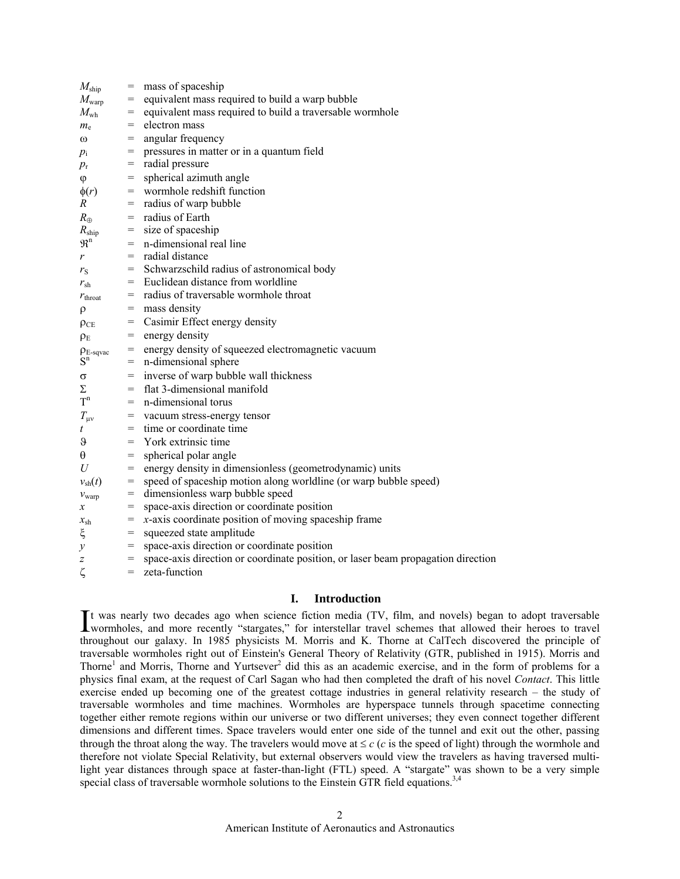|     | mass of spaceship                                                                |
|-----|----------------------------------------------------------------------------------|
| $=$ | equivalent mass required to build a warp bubble                                  |
| $=$ | equivalent mass required to build a traversable wormhole                         |
| $=$ | electron mass                                                                    |
| $=$ | angular frequency                                                                |
|     | = pressures in matter or in a quantum field                                      |
| $=$ | radial pressure                                                                  |
| $=$ | spherical azimuth angle                                                          |
|     | = wormhole redshift function                                                     |
| $=$ | radius of warp bubble                                                            |
| $=$ | radius of Earth                                                                  |
|     | $=$ size of spaceship                                                            |
|     | $=$ n-dimensional real line                                                      |
|     | $=$ radial distance                                                              |
|     | = Schwarzschild radius of astronomical body                                      |
|     | = Euclidean distance from worldline                                              |
|     | = radius of traversable wormhole throat                                          |
|     | $=$ mass density                                                                 |
| $=$ | Casimir Effect energy density                                                    |
|     | $=$ energy density                                                               |
|     | = energy density of squeezed electromagnetic vacuum                              |
| $=$ | n-dimensional sphere                                                             |
| $=$ | inverse of warp bubble wall thickness                                            |
| $=$ | flat 3-dimensional manifold                                                      |
| $=$ | n-dimensional torus                                                              |
| $=$ | vacuum stress-energy tensor                                                      |
|     | = time or coordinate time                                                        |
| $=$ | York extrinsic time                                                              |
| $=$ | spherical polar angle                                                            |
| $=$ | energy density in dimensionless (geometrodynamic) units                          |
| $=$ | speed of spaceship motion along worldline (or warp bubble speed)                 |
| $=$ | dimensionless warp bubble speed                                                  |
| $=$ | space-axis direction or coordinate position                                      |
| $=$ | $x$ -axis coordinate position of moving spaceship frame                          |
| $=$ | squeezed state amplitude                                                         |
| $=$ | space-axis direction or coordinate position                                      |
| $=$ | space-axis direction or coordinate position, or laser beam propagation direction |
| $=$ | zeta-function                                                                    |
|     |                                                                                  |

# **I. Introduction**

It was nearly two decades ago when science fiction media (TV, film, and novels) began to adopt traversable<br>wormholes, and more recently "stargates," for interstellar travel schemes that allowed their heroes to travel throughout our galaxy. In 1985 physicists M. Morris and K. Thorne at CalTech discovered the principle of traversable wormholes right out of Einstein's General Theory of Relativity (GTR, published in 1915). Morris and Thorne<sup>1</sup> and Morris, Thorne and Yurtsever<sup>2</sup> did this as an academic exercise, and in the form of problems for a physics final exam, at the request of Carl Sagan who had then completed the draft of his novel *Contact*. This little exercise ended up becoming one of the greatest cottage industries in general relativity research – the study of traversable wormholes and time machines. Wormholes are hyperspace tunnels through spacetime connecting together either remote regions within our universe or two different universes; they even connect together different dimensions and different times. Space travelers would enter one side of the tunnel and exit out the other, passing through the throat along the way. The travelers would move at  $\leq c$  (*c* is the speed of light) through the wormhole and therefore not violate Special Relativity, but external observers would view the travelers as having traversed multilight year distances through space at faster-than-light (FTL) speed. A "stargate" was shown to be a very simple special class of traversable wormhole solutions to the Einstein GTR field equations.<sup>3,4</sup>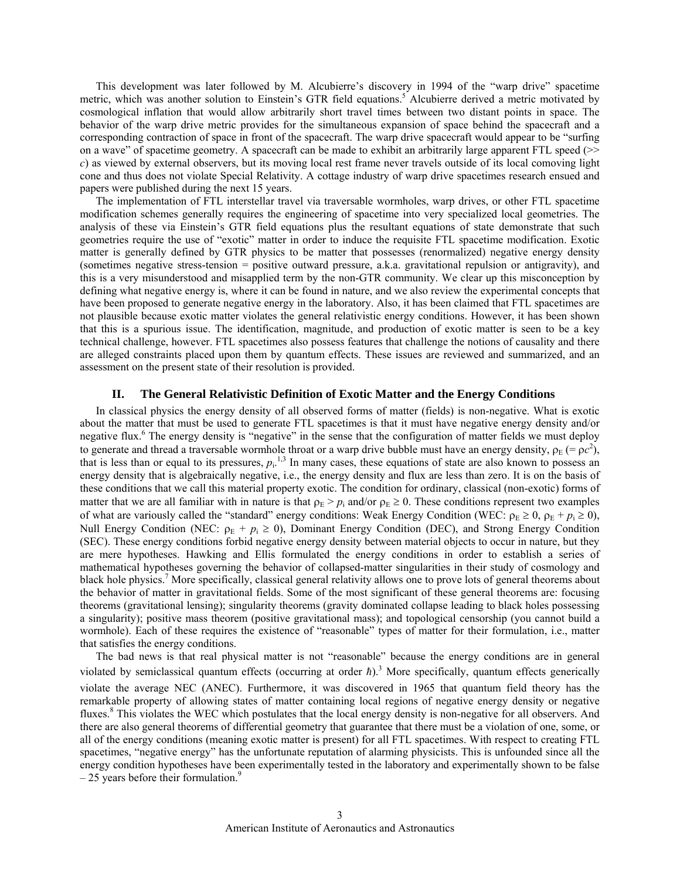This development was later followed by M. Alcubierre's discovery in 1994 of the "warp drive" spacetime metric, which was another solution to Einstein's GTR field equations.<sup>5</sup> Alcubierre derived a metric motivated by cosmological inflation that would allow arbitrarily short travel times between two distant points in space. The behavior of the warp drive metric provides for the simultaneous expansion of space behind the spacecraft and a corresponding contraction of space in front of the spacecraft. The warp drive spacecraft would appear to be "surfing on a wave" of spacetime geometry. A spacecraft can be made to exhibit an arbitrarily large apparent FTL speed (>> *c*) as viewed by external observers, but its moving local rest frame never travels outside of its local comoving light cone and thus does not violate Special Relativity. A cottage industry of warp drive spacetimes research ensued and papers were published during the next 15 years.

The implementation of FTL interstellar travel via traversable wormholes, warp drives, or other FTL spacetime modification schemes generally requires the engineering of spacetime into very specialized local geometries. The analysis of these via Einstein's GTR field equations plus the resultant equations of state demonstrate that such geometries require the use of "exotic" matter in order to induce the requisite FTL spacetime modification. Exotic matter is generally defined by GTR physics to be matter that possesses (renormalized) negative energy density (sometimes negative stress-tension = positive outward pressure, a.k.a. gravitational repulsion or antigravity), and this is a very misunderstood and misapplied term by the non-GTR community. We clear up this misconception by defining what negative energy is, where it can be found in nature, and we also review the experimental concepts that have been proposed to generate negative energy in the laboratory. Also, it has been claimed that FTL spacetimes are not plausible because exotic matter violates the general relativistic energy conditions. However, it has been shown that this is a spurious issue. The identification, magnitude, and production of exotic matter is seen to be a key technical challenge, however. FTL spacetimes also possess features that challenge the notions of causality and there are alleged constraints placed upon them by quantum effects. These issues are reviewed and summarized, and an assessment on the present state of their resolution is provided.

## **II. The General Relativistic Definition of Exotic Matter and the Energy Conditions**

In classical physics the energy density of all observed forms of matter (fields) is non-negative. What is exotic about the matter that must be used to generate FTL spacetimes is that it must have negative energy density and/or negative flux.<sup>6</sup> The energy density is "negative" in the sense that the configuration of matter fields we must deploy to generate and thread a traversable wormhole throat or a warp drive bubble must have an energy density,  $\rho_E = \rho c^2$ ), that is less than or equal to its pressures,  $p_i$ <sup>1,3</sup> In many cases, these equations of state are also known to possess an energy density that is algebraically negative, i.e., the energy density and flux are less than zero. It is on the basis of these conditions that we call this material property exotic. The condition for ordinary, classical (non-exotic) forms of matter that we are all familiar with in nature is that  $\rho_E > p_i$  and/or  $\rho_E \ge 0$ . These conditions represent two examples of what are variously called the "standard" energy conditions: Weak Energy Condition (WEC:  $\rho_E \ge 0$ ,  $\rho_E + p_i \ge 0$ ), Null Energy Condition (NEC:  $\rho_E + p_i \ge 0$ ), Dominant Energy Condition (DEC), and Strong Energy Condition (SEC). These energy conditions forbid negative energy density between material objects to occur in nature, but they are mere hypotheses. Hawking and Ellis formulated the energy conditions in order to establish a series of mathematical hypotheses governing the behavior of collapsed-matter singularities in their study of cosmology and black hole physics.<sup>7</sup> More specifically, classical general relativity allows one to prove lots of general theorems about the behavior of matter in gravitational fields. Some of the most significant of these general theorems are: focusing theorems (gravitational lensing); singularity theorems (gravity dominated collapse leading to black holes possessing a singularity); positive mass theorem (positive gravitational mass); and topological censorship (you cannot build a wormhole). Each of these requires the existence of "reasonable" types of matter for their formulation, i.e., matter that satisfies the energy conditions.

The bad news is that real physical matter is not "reasonable" because the energy conditions are in general violated by semiclassical quantum effects (occurring at order  $\hbar$ ).<sup>3</sup> More specifically, quantum effects generically violate the average NEC (ANEC). Furthermore, it was discovered in 1965 that quantum field theory has the remarkable property of allowing states of matter containing local regions of negative energy density or negative fluxes.<sup>8</sup> This violates the WEC which postulates that the local energy density is non-negative for all observers. And there are also general theorems of differential geometry that guarantee that there must be a violation of one, some, or all of the energy conditions (meaning exotic matter is present) for all FTL spacetimes. With respect to creating FTL spacetimes, "negative energy" has the unfortunate reputation of alarming physicists. This is unfounded since all the energy condition hypotheses have been experimentally tested in the laboratory and experimentally shown to be false  $-25$  years before their formulation.<sup>9</sup>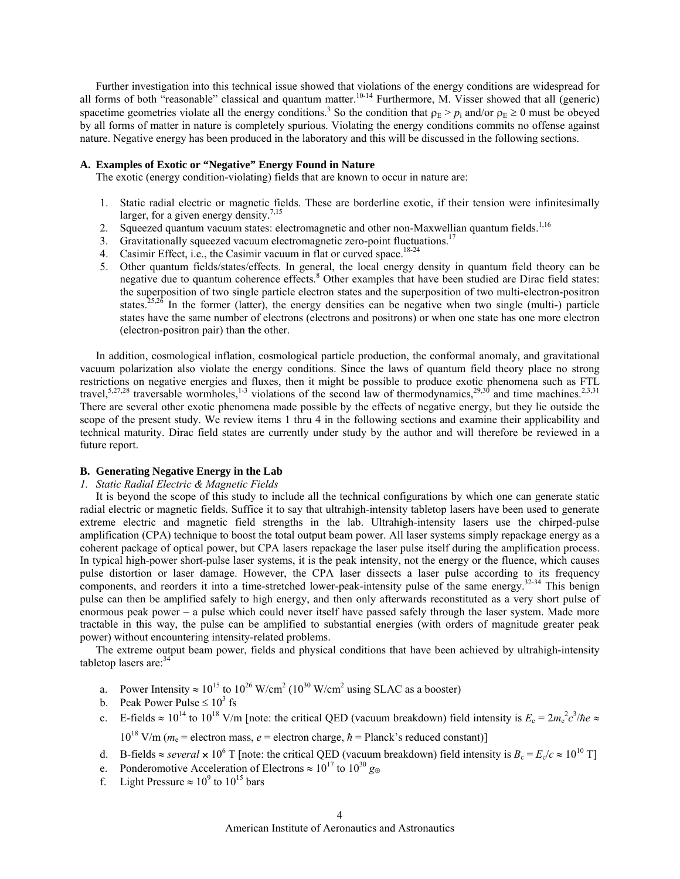Further investigation into this technical issue showed that violations of the energy conditions are widespread for all forms of both "reasonable" classical and quantum matter.<sup>10-14</sup> Furthermore, M. Visser showed that all (generic) spacetime geometries violate all the energy conditions.<sup>3</sup> So the condition that  $\rho_E > p_i$  and/or  $\rho_E \ge 0$  must be obeyed by all forms of matter in nature is completely spurious. Violating the energy conditions commits no offense against nature. Negative energy has been produced in the laboratory and this will be discussed in the following sections.

# **A. Examples of Exotic or "Negative" Energy Found in Nature**

The exotic (energy condition-violating) fields that are known to occur in nature are:

- 1. Static radial electric or magnetic fields. These are borderline exotic, if their tension were infinitesimally larger, for a given energy density.<sup>7,15</sup>
- 2. Squeezed quantum vacuum states: electromagnetic and other non-Maxwellian quantum fields.<sup>1,16</sup>
- 3. Gravitationally squeezed vacuum electromagnetic zero-point fluctuations.<sup>17</sup>
- 4. Casimir Effect, i.e., the Casimir vacuum in flat or curved space.<sup>18-24</sup>
- 5. Other quantum fields/states/effects. In general, the local energy density in quantum field theory can be negative due to quantum coherence effects.<sup>8</sup> Other examples that have been studied are Dirac field states: the superposition of two single particle electron states and the superposition of two multi-electron-positron states.<sup>25,26</sup> In the former (latter), the energy densities can be negative when two single (multi-) particle states have the same number of electrons (electrons and positrons) or when one state has one more electron (electron-positron pair) than the other.

In addition, cosmological inflation, cosmological particle production, the conformal anomaly, and gravitational vacuum polarization also violate the energy conditions. Since the laws of quantum field theory place no strong restrictions on negative energies and fluxes, then it might be possible to produce exotic phenomena such as FTL travel,<sup>5,27,28</sup> traversable wormholes,<sup>1-3</sup> violations of the second law of thermodynamics,<sup>29,30</sup> and time machines.<sup>2,3,31</sup> There are several other exotic phenomena made possible by the effects of negative energy, but they lie outside the scope of the present study. We review items 1 thru 4 in the following sections and examine their applicability and technical maturity. Dirac field states are currently under study by the author and will therefore be reviewed in a future report.

#### **B. Generating Negative Energy in the Lab**

#### *1. Static Radial Electric & Magnetic Fields*

It is beyond the scope of this study to include all the technical configurations by which one can generate static radial electric or magnetic fields. Suffice it to say that ultrahigh-intensity tabletop lasers have been used to generate extreme electric and magnetic field strengths in the lab. Ultrahigh-intensity lasers use the chirped-pulse amplification (CPA) technique to boost the total output beam power. All laser systems simply repackage energy as a coherent package of optical power, but CPA lasers repackage the laser pulse itself during the amplification process. In typical high-power short-pulse laser systems, it is the peak intensity, not the energy or the fluence, which causes pulse distortion or laser damage. However, the CPA laser dissects a laser pulse according to its frequency components, and reorders it into a time-stretched lower-peak-intensity pulse of the same energy.<sup>32-34</sup> This benign pulse can then be amplified safely to high energy, and then only afterwards reconstituted as a very short pulse of enormous peak power – a pulse which could never itself have passed safely through the laser system. Made more tractable in this way, the pulse can be amplified to substantial energies (with orders of magnitude greater peak power) without encountering intensity-related problems.

The extreme output beam power, fields and physical conditions that have been achieved by ultrahigh-intensity tabletop lasers are: 34

- a. Power Intensity  $\approx 10^{15}$  to  $10^{26}$  W/cm<sup>2</sup> (10<sup>30</sup> W/cm<sup>2</sup> using SLAC as a booster)
- b. Peak Power Pulse  $\leq 10^3$  fs
- c. E-fields  $\approx 10^{14}$  to  $10^{18}$  V/m [note: the critical QED (vacuum breakdown) field intensity is  $E_c = 2m_e^2 c^3/\hbar e \approx$  $10^{18}$  V/m ( $m_e$  = electron mass,  $e$  = electron charge,  $\hbar$  = Planck's reduced constant)]
- d. B-fields  $\approx$  *several*  $\times$  10<sup>6</sup> T [note: the critical QED (vacuum breakdown) field intensity is  $B_c = E_c/c \approx 10^{10}$  T]
- e. Ponderomotive Acceleration of Electrons  $\approx 10^{17}$  to  $10^{30}$   $g_{\oplus}$
- f. Light Pressure  $\approx 10^9$  to  $10^{15}$  bars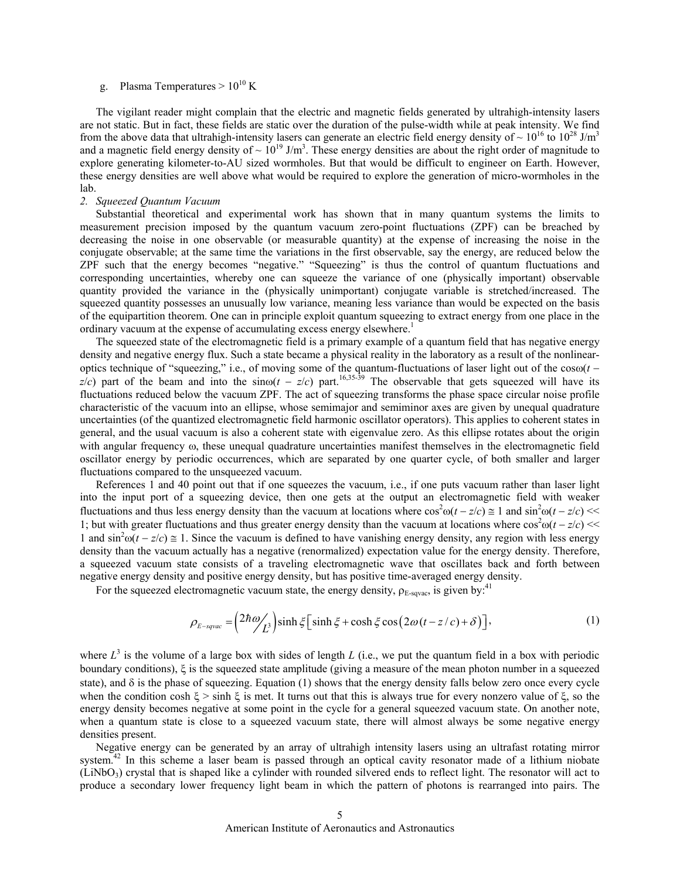g. Plasma Temperatures  $> 10^{10}$  K

The vigilant reader might complain that the electric and magnetic fields generated by ultrahigh-intensity lasers are not static. But in fact, these fields are static over the duration of the pulse-width while at peak intensity. We find from the above data that ultrahigh-intensity lasers can generate an electric field energy density of  $\sim 10^{16}$  to  $10^{28}$  J/m<sup>3</sup> and a magnetic field energy density of  $\sim 10^{19}$  J/m<sup>3</sup>. These energy densities are about the right order of magnitude to explore generating kilometer-to-AU sized wormholes. But that would be difficult to engineer on Earth. However, these energy densities are well above what would be required to explore the generation of micro-wormholes in the lab.

## *2. Squeezed Quantum Vacuum*

Substantial theoretical and experimental work has shown that in many quantum systems the limits to measurement precision imposed by the quantum vacuum zero-point fluctuations (ZPF) can be breached by decreasing the noise in one observable (or measurable quantity) at the expense of increasing the noise in the conjugate observable; at the same time the variations in the first observable, say the energy, are reduced below the ZPF such that the energy becomes "negative." "Squeezing" is thus the control of quantum fluctuations and corresponding uncertainties, whereby one can squeeze the variance of one (physically important) observable quantity provided the variance in the (physically unimportant) conjugate variable is stretched/increased. The squeezed quantity possesses an unusually low variance, meaning less variance than would be expected on the basis of the equipartition theorem. One can in principle exploit quantum squeezing to extract energy from one place in the ordinary vacuum at the expense of accumulating excess energy elsewhere.<sup>1</sup>

The squeezed state of the electromagnetic field is a primary example of a quantum field that has negative energy density and negative energy flux. Such a state became a physical reality in the laboratory as a result of the nonlinearoptics technique of "squeezing," i.e., of moving some of the quantum-fluctuations of laser light out of the cosω(*t* − *z/c*) part of the beam and into the sin $\omega(t - z/c)$  part.<sup>16,35-39</sup> The observable that gets squeezed will have its fluctuations reduced below the vacuum ZPF. The act of squeezing transforms the phase space circular noise profile characteristic of the vacuum into an ellipse, whose semimajor and semiminor axes are given by unequal quadrature uncertainties (of the quantized electromagnetic field harmonic oscillator operators). This applies to coherent states in general, and the usual vacuum is also a coherent state with eigenvalue zero. As this ellipse rotates about the origin with angular frequency ω, these unequal quadrature uncertainties manifest themselves in the electromagnetic field oscillator energy by periodic occurrences, which are separated by one quarter cycle, of both smaller and larger fluctuations compared to the unsqueezed vacuum.

References 1 and 40 point out that if one squeezes the vacuum, i.e., if one puts vacuum rather than laser light into the input port of a squeezing device, then one gets at the output an electromagnetic field with weaker fluctuations and thus less energy density than the vacuum at locations where  $\cos^2 \omega(t - z/c) \approx 1$  and  $\sin^2 \omega(t - z/c) \ll$ 1; but with greater fluctuations and thus greater energy density than the vacuum at locations where  $\cos^2\omega(t - z/c)$  << 1 and  $sin^2$ ω $(t − z/c)$   $\leq$  1. Since the vacuum is defined to have vanishing energy density, any region with less energy density than the vacuum actually has a negative (renormalized) expectation value for the energy density. Therefore, a squeezed vacuum state consists of a traveling electromagnetic wave that oscillates back and forth between negative energy density and positive energy density, but has positive time-averaged energy density.

For the squeezed electromagnetic vacuum state, the energy density,  $\rho_{\text{E-sqvac}}$ , is given by:<sup>41</sup>

$$
\rho_{E-sqvac} = \left(\frac{2\hbar\omega}{L^3}\right)\sinh\xi\left[\sinh\xi + \cosh\xi\cos\left(2\omega(t-z/c) + \delta\right)\right],\tag{1}
$$

where  $L^3$  is the volume of a large box with sides of length *L* (i.e., we put the quantum field in a box with periodic boundary conditions), ξ is the squeezed state amplitude (giving a measure of the mean photon number in a squeezed state), and  $\delta$  is the phase of squeezing. Equation (1) shows that the energy density falls below zero once every cycle when the condition cosh  $\xi$  > sinh  $\xi$  is met. It turns out that this is always true for every nonzero value of  $\xi$ , so the energy density becomes negative at some point in the cycle for a general squeezed vacuum state. On another note, when a quantum state is close to a squeezed vacuum state, there will almost always be some negative energy densities present.

Negative energy can be generated by an array of ultrahigh intensity lasers using an ultrafast rotating mirror system.<sup>42</sup> In this scheme a laser beam is passed through an optical cavity resonator made of a lithium niobate  $(LiNbO<sub>3</sub>)$  crystal that is shaped like a cylinder with rounded silvered ends to reflect light. The resonator will act to produce a secondary lower frequency light beam in which the pattern of photons is rearranged into pairs. The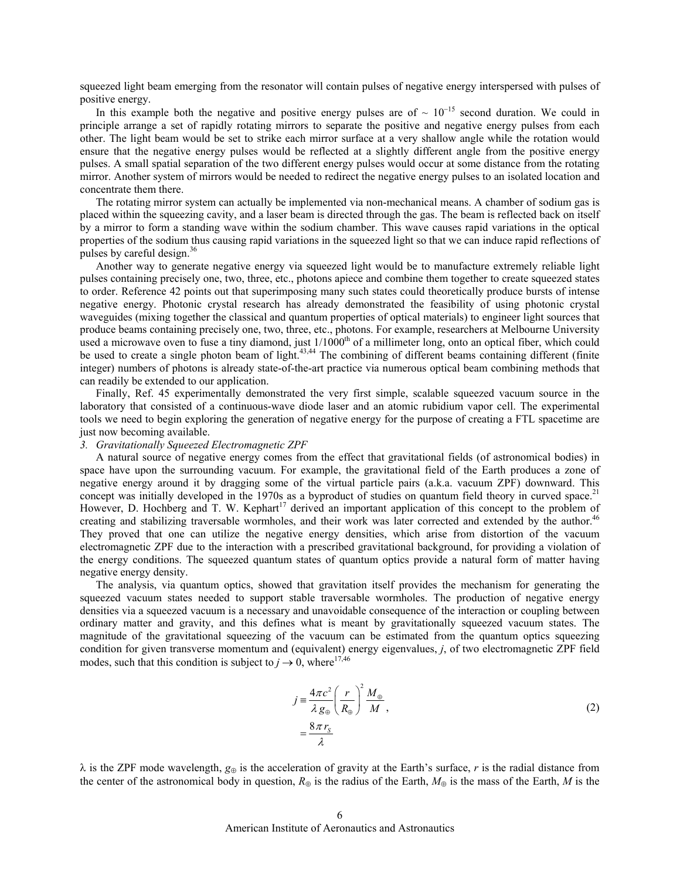squeezed light beam emerging from the resonator will contain pulses of negative energy interspersed with pulses of positive energy.

In this example both the negative and positive energy pulses are of  $\sim 10^{-15}$  second duration. We could in principle arrange a set of rapidly rotating mirrors to separate the positive and negative energy pulses from each other. The light beam would be set to strike each mirror surface at a very shallow angle while the rotation would ensure that the negative energy pulses would be reflected at a slightly different angle from the positive energy pulses. A small spatial separation of the two different energy pulses would occur at some distance from the rotating mirror. Another system of mirrors would be needed to redirect the negative energy pulses to an isolated location and concentrate them there.

The rotating mirror system can actually be implemented via non-mechanical means. A chamber of sodium gas is placed within the squeezing cavity, and a laser beam is directed through the gas. The beam is reflected back on itself by a mirror to form a standing wave within the sodium chamber. This wave causes rapid variations in the optical properties of the sodium thus causing rapid variations in the squeezed light so that we can induce rapid reflections of pulses by careful design.<sup>36</sup>

Another way to generate negative energy via squeezed light would be to manufacture extremely reliable light pulses containing precisely one, two, three, etc., photons apiece and combine them together to create squeezed states to order. Reference 42 points out that superimposing many such states could theoretically produce bursts of intense negative energy. Photonic crystal research has already demonstrated the feasibility of using photonic crystal waveguides (mixing together the classical and quantum properties of optical materials) to engineer light sources that produce beams containing precisely one, two, three, etc., photons. For example, researchers at Melbourne University used a microwave oven to fuse a tiny diamond, just 1/1000<sup>th</sup> of a millimeter long, onto an optical fiber, which could be used to create a single photon beam of light.<sup>43,44</sup> The combining of different beams containing different (finite integer) numbers of photons is already state-of-the-art practice via numerous optical beam combining methods that can readily be extended to our application.

Finally, Ref. 45 experimentally demonstrated the very first simple, scalable squeezed vacuum source in the laboratory that consisted of a continuous-wave diode laser and an atomic rubidium vapor cell. The experimental tools we need to begin exploring the generation of negative energy for the purpose of creating a FTL spacetime are just now becoming available.

## *3. Gravitationally Squeezed Electromagnetic ZPF*

A natural source of negative energy comes from the effect that gravitational fields (of astronomical bodies) in space have upon the surrounding vacuum. For example, the gravitational field of the Earth produces a zone of negative energy around it by dragging some of the virtual particle pairs (a.k.a. vacuum ZPF) downward. This concept was initially developed in the 1970s as a byproduct of studies on quantum field theory in curved space.<sup>21</sup> However, D. Hochberg and T. W. Kephart<sup>17</sup> derived an important application of this concept to the problem of creating and stabilizing traversable wormholes, and their work was later corrected and extended by the author.<sup>46</sup> They proved that one can utilize the negative energy densities, which arise from distortion of the vacuum electromagnetic ZPF due to the interaction with a prescribed gravitational background, for providing a violation of the energy conditions. The squeezed quantum states of quantum optics provide a natural form of matter having negative energy density.

The analysis, via quantum optics, showed that gravitation itself provides the mechanism for generating the squeezed vacuum states needed to support stable traversable wormholes. The production of negative energy densities via a squeezed vacuum is a necessary and unavoidable consequence of the interaction or coupling between ordinary matter and gravity, and this defines what is meant by gravitationally squeezed vacuum states. The magnitude of the gravitational squeezing of the vacuum can be estimated from the quantum optics squeezing condition for given transverse momentum and (equivalent) energy eigenvalues, *j*, of two electromagnetic ZPF field modes, such that this condition is subject to  $j \rightarrow 0$ , where<sup>17,46</sup>

$$
j = \frac{4\pi c^2}{\lambda g_{\oplus}} \left(\frac{r}{R_{\oplus}}\right)^2 \frac{M_{\oplus}}{M},
$$
  
= 
$$
\frac{8\pi r_s}{\lambda}
$$
 (2)

 $\lambda$  is the ZPF mode wavelength,  $g_{\oplus}$  is the acceleration of gravity at the Earth's surface, *r* is the radial distance from the center of the astronomical body in question,  $R_{\oplus}$  is the radius of the Earth,  $M_{\oplus}$  is the mass of the Earth, *M* is the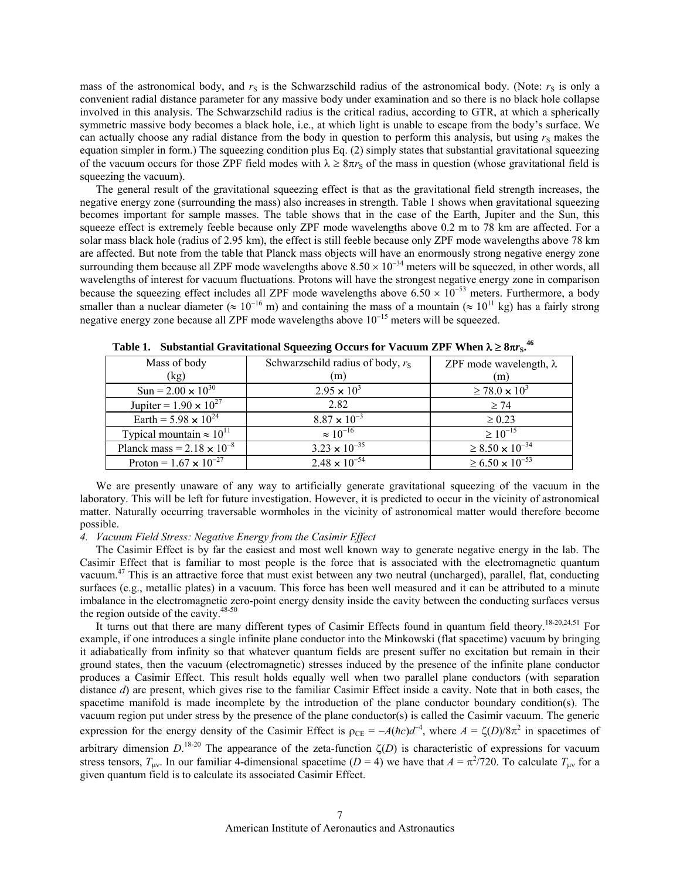mass of the astronomical body, and  $r<sub>S</sub>$  is the Schwarzschild radius of the astronomical body. (Note:  $r<sub>S</sub>$  is only a convenient radial distance parameter for any massive body under examination and so there is no black hole collapse involved in this analysis. The Schwarzschild radius is the critical radius, according to GTR, at which a spherically symmetric massive body becomes a black hole, i.e., at which light is unable to escape from the body's surface. We can actually choose any radial distance from the body in question to perform this analysis, but using  $r<sub>S</sub>$  makes the equation simpler in form.) The squeezing condition plus Eq. (2) simply states that substantial gravitational squeezing of the vacuum occurs for those ZPF field modes with  $\lambda \geq 8\pi r_s$  of the mass in question (whose gravitational field is squeezing the vacuum).

The general result of the gravitational squeezing effect is that as the gravitational field strength increases, the negative energy zone (surrounding the mass) also increases in strength. Table 1 shows when gravitational squeezing becomes important for sample masses. The table shows that in the case of the Earth, Jupiter and the Sun, this squeeze effect is extremely feeble because only ZPF mode wavelengths above 0.2 m to 78 km are affected. For a solar mass black hole (radius of 2.95 km), the effect is still feeble because only ZPF mode wavelengths above 78 km are affected. But note from the table that Planck mass objects will have an enormously strong negative energy zone surrounding them because all ZPF mode wavelengths above  $8.50 \times 10^{-34}$  meters will be squeezed, in other words, all wavelengths of interest for vacuum fluctuations. Protons will have the strongest negative energy zone in comparison because the squeezing effect includes all ZPF mode wavelengths above  $6.50 \times 10^{-53}$  meters. Furthermore, a body smaller than a nuclear diameter ( $\approx 10^{-16}$  m) and containing the mass of a mountain ( $\approx 10^{11}$  kg) has a fairly strong negative energy zone because all ZPF mode wavelengths above 10<sup>-15</sup> meters will be squeezed.

| Mass of body                        | Schwarzschild radius of body, $r_s$ | ZPF mode wavelength, $\lambda$ |  |
|-------------------------------------|-------------------------------------|--------------------------------|--|
| (kg)                                | (m)                                 | (m)                            |  |
| Sun = $2.00 \times 10^{30}$         | $2.95 \times 10^{3}$                | $\geq 78.0 \times 10^3$        |  |
| Jupiter = $1.90 \times 10^{27}$     | 2.82                                | $\geq 74$                      |  |
| Earth = $5.98 \times 10^{24}$       | $8.87 \times 10^{-3}$               | $\ge 0.23$                     |  |
| Typical mountain $\approx 10^{11}$  | $\approx 10^{-16}$                  | $\geq 10^{-15}$                |  |
| Planck mass = $2.18 \times 10^{-8}$ | $3.23 \times 10^{-35}$              | $\geq 8.50 \times 10^{-34}$    |  |
| Proton = $1.67 \times 10^{-27}$     | $2.48 \times 10^{-54}$              | $\geq 6.50 \times 10^{-33}$    |  |

**Table 1.** Substantial Gravitational Squeezing Occurs for Vacuum ZPF When  $\lambda \ge 8\pi r_{\rm S}^{46}$ 

We are presently unaware of any way to artificially generate gravitational squeezing of the vacuum in the laboratory. This will be left for future investigation. However, it is predicted to occur in the vicinity of astronomical matter. Naturally occurring traversable wormholes in the vicinity of astronomical matter would therefore become possible.

## *4. Vacuum Field Stress: Negative Energy from the Casimir Effect*

The Casimir Effect is by far the easiest and most well known way to generate negative energy in the lab. The Casimir Effect that is familiar to most people is the force that is associated with the electromagnetic quantum vacuum.<sup>47</sup> This is an attractive force that must exist between any two neutral (uncharged), parallel, flat, conducting surfaces (e.g., metallic plates) in a vacuum. This force has been well measured and it can be attributed to a minute imbalance in the electromagnetic zero-point energy density inside the cavity between the conducting surfaces versus the region outside of the cavity. $48-50$ 

It turns out that there are many different types of Casimir Effects found in quantum field theory.<sup>18-20,24,51</sup> For example, if one introduces a single infinite plane conductor into the Minkowski (flat spacetime) vacuum by bringing it adiabatically from infinity so that whatever quantum fields are present suffer no excitation but remain in their ground states, then the vacuum (electromagnetic) stresses induced by the presence of the infinite plane conductor produces a Casimir Effect. This result holds equally well when two parallel plane conductors (with separation distance *d*) are present, which gives rise to the familiar Casimir Effect inside a cavity. Note that in both cases, the spacetime manifold is made incomplete by the introduction of the plane conductor boundary condition(s). The vacuum region put under stress by the presence of the plane conductor(s) is called the Casimir vacuum. The generic expression for the energy density of the Casimir Effect is  $\rho_{CE} = -A(\hbar c)d^{-4}$ , where  $A = \zeta(D)/8\pi^2$  in spacetimes of arbitrary dimension  $D$ .<sup>18-20</sup> The appearance of the zeta-function  $\zeta(D)$  is characteristic of expressions for vacuum stress tensors,  $T_{\mu\nu}$ . In our familiar 4-dimensional spacetime ( $D = 4$ ) we have that  $A = \pi^2/720$ . To calculate  $T_{\mu\nu}$  for a given quantum field is to calculate its associated Casimir Effect.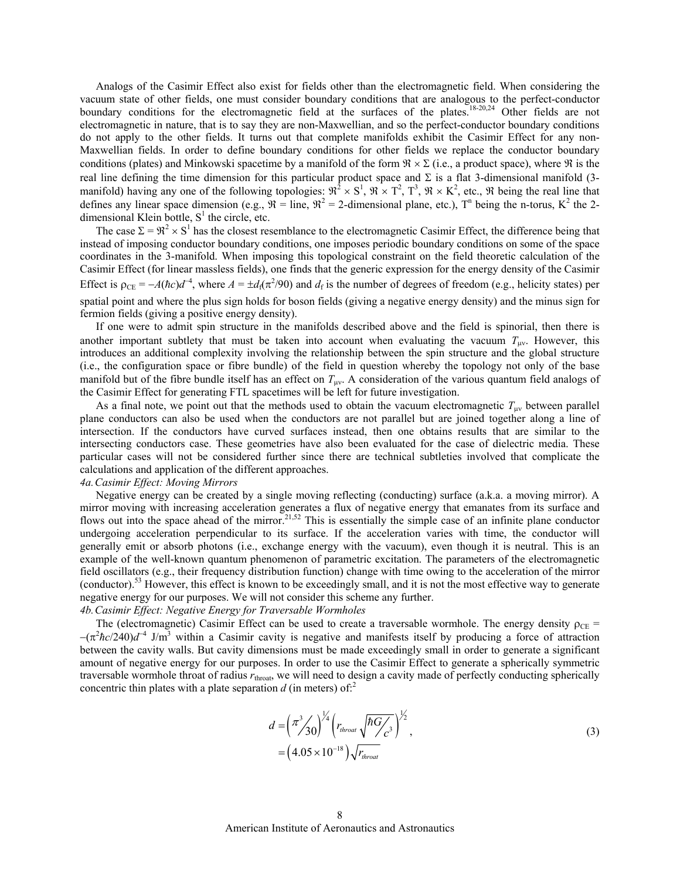Analogs of the Casimir Effect also exist for fields other than the electromagnetic field. When considering the vacuum state of other fields, one must consider boundary conditions that are analogous to the perfect-conductor boundary conditions for the electromagnetic field at the surfaces of the plates.<sup>18-20,24</sup> Other fields are not electromagnetic in nature, that is to say they are non-Maxwellian, and so the perfect-conductor boundary conditions do not apply to the other fields. It turns out that complete manifolds exhibit the Casimir Effect for any non-Maxwellian fields. In order to define boundary conditions for other fields we replace the conductor boundary conditions (plates) and Minkowski spacetime by a manifold of the form  $\Re \times \Sigma$  (i.e., a product space), where  $\Re$  is the real line defining the time dimension for this particular product space and  $\Sigma$  is a flat 3-dimensional manifold (3manifold) having any one of the following topologies:  $\mathbb{R}^2 \times S^1$ ,  $\mathbb{R} \times T^2$ ,  $T^3$ ,  $\mathbb{R} \times K^2$ , etc.,  $\mathbb{R}$  being the real line that defines any linear space dimension (e.g.,  $\mathcal{R} = \text{line}, \mathcal{R}^2 = 2$ -dimensional plane, etc.),  $T^n$  being the n-torus,  $K^2$  the 2dimensional Klein bottle,  $S<sup>1</sup>$  the circle, etc.

The case  $\Sigma = \mathfrak{R}^2 \times S^1$  has the closest resemblance to the electromagnetic Casimir Effect, the difference being that instead of imposing conductor boundary conditions, one imposes periodic boundary conditions on some of the space coordinates in the 3-manifold. When imposing this topological constraint on the field theoretic calculation of the Casimir Effect (for linear massless fields), one finds that the generic expression for the energy density of the Casimir Effect is  $\rho_{CE} = -A(\hbar c)d^{-4}$ , where  $A = \pm d_f(\pi^2/90)$  and  $d_f$  is the number of degrees of freedom (e.g., helicity states) per spatial point and where the plus sign holds for boson fields (giving a negative energy density) and the minus sign for fermion fields (giving a positive energy density).

If one were to admit spin structure in the manifolds described above and the field is spinorial, then there is another important subtlety that must be taken into account when evaluating the vacuum  $T_{\text{uv}}$ . However, this introduces an additional complexity involving the relationship between the spin structure and the global structure (i.e., the configuration space or fibre bundle) of the field in question whereby the topology not only of the base manifold but of the fibre bundle itself has an effect on  $T_{\mu\nu}$ . A consideration of the various quantum field analogs of the Casimir Effect for generating FTL spacetimes will be left for future investigation.

As a final note, we point out that the methods used to obtain the vacuum electromagnetic  $T_{uv}$  between parallel plane conductors can also be used when the conductors are not parallel but are joined together along a line of intersection. If the conductors have curved surfaces instead, then one obtains results that are similar to the intersecting conductors case. These geometries have also been evaluated for the case of dielectric media. These particular cases will not be considered further since there are technical subtleties involved that complicate the calculations and application of the different approaches.

## *4a. Casimir Effect: Moving Mirrors*

Negative energy can be created by a single moving reflecting (conducting) surface (a.k.a. a moving mirror). A mirror moving with increasing acceleration generates a flux of negative energy that emanates from its surface and flows out into the space ahead of the mirror.<sup>21,52</sup> This is essentially the simple case of an infinite plane conductor undergoing acceleration perpendicular to its surface. If the acceleration varies with time, the conductor will generally emit or absorb photons (i.e., exchange energy with the vacuum), even though it is neutral. This is an example of the well-known quantum phenomenon of parametric excitation. The parameters of the electromagnetic field oscillators (e.g., their frequency distribution function) change with time owing to the acceleration of the mirror (conductor). 53 However, this effect is known to be exceedingly small, and it is not the most effective way to generate negative energy for our purposes. We will not consider this scheme any further.

# *4b. Casimir Effect: Negative Energy for Traversable Wormholes*

The (electromagnetic) Casimir Effect can be used to create a traversable wormhole. The energy density  $\rho_{\text{CE}} =$  $-(\pi^2 \hbar c/240) d^{-4}$  J/m<sup>3</sup> within a Casimir cavity is negative and manifests itself by producing a force of attraction between the cavity walls. But cavity dimensions must be made exceedingly small in order to generate a significant amount of negative energy for our purposes. In order to use the Casimir Effect to generate a spherically symmetric traversable wormhole throat of radius *r*throat, we will need to design a cavity made of perfectly conducting spherically concentric thin plates with a plate separation  $d$  (in meters) of:<sup>2</sup>

$$
d = \left(\frac{\pi^3}{30}\right)^{\frac{1}{4}} \left(r_{\text{throat}} \sqrt{\frac{\hbar G}{c^3}}\right)^{\frac{1}{2}},
$$
  
=  $\left(4.05 \times 10^{-18}\right) \sqrt{r_{\text{throat}}}$  (3)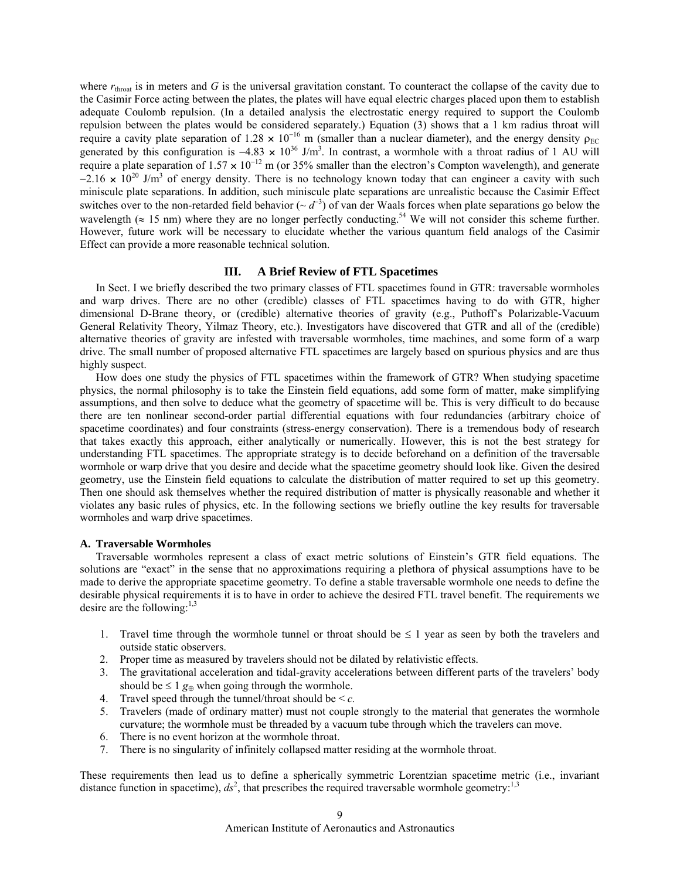where  $r_{\text{throat}}$  is in meters and  $G$  is the universal gravitation constant. To counteract the collapse of the cavity due to the Casimir Force acting between the plates, the plates will have equal electric charges placed upon them to establish adequate Coulomb repulsion. (In a detailed analysis the electrostatic energy required to support the Coulomb repulsion between the plates would be considered separately.) Equation (3) shows that a 1 km radius throat will require a cavity plate separation of 1.28  $\times$  10<sup>-16</sup> m (smaller than a nuclear diameter), and the energy density  $\rho_{EC}$ generated by this configuration is  $-4.83 \times 10^{36}$  J/m<sup>3</sup>. In contrast, a wormhole with a throat radius of 1 AU will require a plate separation of  $1.57 \times 10^{-12}$  m (or 35% smaller than the electron's Compton wavelength), and generate  $-2.16 \times 10^{20}$  J/m<sup>3</sup> of energy density. There is no technology known today that can engineer a cavity with such miniscule plate separations. In addition, such miniscule plate separations are unrealistic because the Casimir Effect switches over to the non-retarded field behavior ( $\sim d^{-3}$ ) of van der Waals forces when plate separations go below the wavelength ( $\approx$  15 nm) where they are no longer perfectly conducting.<sup>54</sup> We will not consider this scheme further. However, future work will be necessary to elucidate whether the various quantum field analogs of the Casimir Effect can provide a more reasonable technical solution.

# **III. A Brief Review of FTL Spacetimes**

In Sect. I we briefly described the two primary classes of FTL spacetimes found in GTR: traversable wormholes and warp drives. There are no other (credible) classes of FTL spacetimes having to do with GTR, higher dimensional D-Brane theory, or (credible) alternative theories of gravity (e.g., Puthoff's Polarizable-Vacuum General Relativity Theory, Yilmaz Theory, etc.). Investigators have discovered that GTR and all of the (credible) alternative theories of gravity are infested with traversable wormholes, time machines, and some form of a warp drive. The small number of proposed alternative FTL spacetimes are largely based on spurious physics and are thus highly suspect.

How does one study the physics of FTL spacetimes within the framework of GTR? When studying spacetime physics, the normal philosophy is to take the Einstein field equations, add some form of matter, make simplifying assumptions, and then solve to deduce what the geometry of spacetime will be. This is very difficult to do because there are ten nonlinear second-order partial differential equations with four redundancies (arbitrary choice of spacetime coordinates) and four constraints (stress-energy conservation). There is a tremendous body of research that takes exactly this approach, either analytically or numerically. However, this is not the best strategy for understanding FTL spacetimes. The appropriate strategy is to decide beforehand on a definition of the traversable wormhole or warp drive that you desire and decide what the spacetime geometry should look like. Given the desired geometry, use the Einstein field equations to calculate the distribution of matter required to set up this geometry. Then one should ask themselves whether the required distribution of matter is physically reasonable and whether it violates any basic rules of physics, etc. In the following sections we briefly outline the key results for traversable wormholes and warp drive spacetimes.

#### **A. Traversable Wormholes**

Traversable wormholes represent a class of exact metric solutions of Einstein's GTR field equations. The solutions are "exact" in the sense that no approximations requiring a plethora of physical assumptions have to be made to derive the appropriate spacetime geometry. To define a stable traversable wormhole one needs to define the desirable physical requirements it is to have in order to achieve the desired FTL travel benefit. The requirements we desire are the following: $1,3$ 

- 1. Travel time through the wormhole tunnel or throat should be  $\leq 1$  year as seen by both the travelers and outside static observers.
- 2. Proper time as measured by travelers should not be dilated by relativistic effects.
- 3. The gravitational acceleration and tidal-gravity accelerations between different parts of the travelers' body should be  $\leq 1$   $g_{\oplus}$  when going through the wormhole.
- 4. Travel speed through the tunnel/throat should be  $\leq c$ .
- 5. Travelers (made of ordinary matter) must not couple strongly to the material that generates the wormhole curvature; the wormhole must be threaded by a vacuum tube through which the travelers can move.
- 6. There is no event horizon at the wormhole throat.
- 7. There is no singularity of infinitely collapsed matter residing at the wormhole throat.

These requirements then lead us to define a spherically symmetric Lorentzian spacetime metric (i.e., invariant distance function in spacetime),  $ds^2$ , that prescribes the required traversable wormhole geometry:<sup>1,3</sup>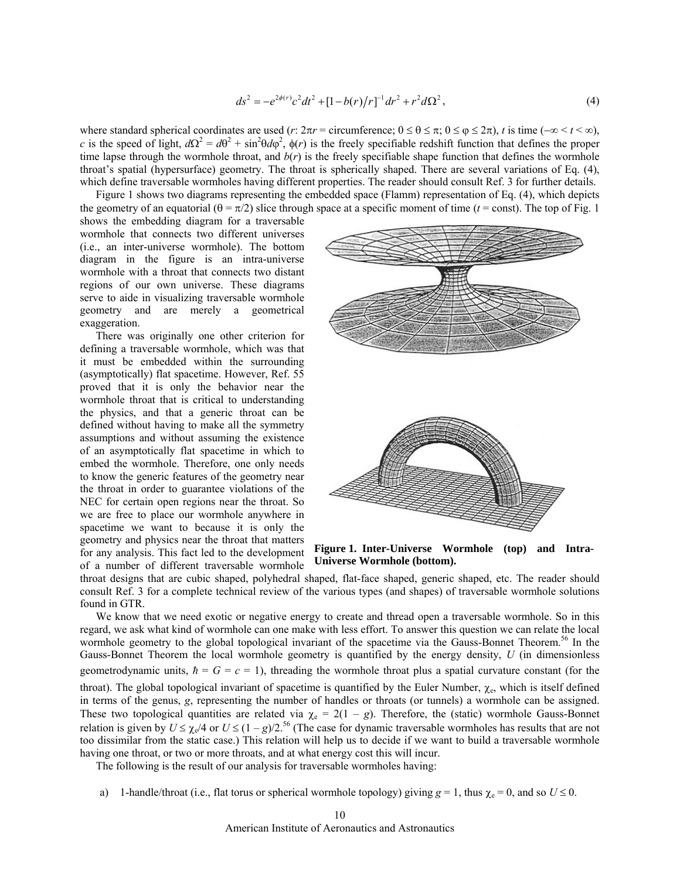$$
ds^{2} = -e^{2\phi(r)}c^{2}dt^{2} + [1-b(r)/r]^{-1}dr^{2} + r^{2}d\Omega^{2},
$$
\n(4)

where standard spherical coordinates are used (*r*:  $2\pi r$  = circumference;  $0 \le \theta \le \pi$ ;  $0 \le \varphi \le 2\pi$ ), *t* is time ( $-\infty < t < \infty$ ), *c* is the speed of light,  $d\Omega^2 = d\theta^2 + \sin^2\theta d\varphi^2$ ,  $\phi(r)$  is the freely specifiable redshift function that defines the proper time lapse through the wormhole throat, and  $b(r)$  is the freely specifiable shape function that defines the wormhole throat's spatial (hypersurface) geometry. The throat is spherically shaped. There are several variations of Eq. (4), which define traversable wormholes having different properties. The reader should consult Ref. 3 for further details.

Figure 1 shows two diagrams representing the embedded space (Flamm) representation of Eq. (4), which depicts the geometry of an equatorial  $(\theta = \pi/2)$  slice through space at a specific moment of time ( $t =$ const). The top of Fig. 1

shows the embedding diagram for a traversable wormhole that connects two different universes (i.e., an inter-universe wormhole). The bottom diagram in the figure is an intra-universe wormhole with a throat that connects two distant regions of our own universe. These diagrams serve to aide in visualizing traversable wormhole geometry and are merely a geometrical exaggeration.

There was originally one other criterion for defining a traversable wormhole, which was that it must be embedded within the surrounding (asymptotically) flat spacetime. However, Ref. 55 proved that it is only the behavior near the wormhole throat that is critical to understanding the physics, and that a generic throat can be defined without having to make all the symmetry assumptions and without assuming the existence of an asymptotically flat spacetime in which to embed the wormhole. Therefore, one only needs to know the generic features of the geometry near the throat in order to guarantee violations of the NEC for certain open regions near the throat. So we are free to place our wormhole anywhere in spacetime we want to because it is only the geometry and physics near the throat that matters for any analysis. This fact led to the development of a number of different traversable wormhole



**Figure 1. Inter-Universe Wormhole (top) and Intra-Universe Wormhole (bottom).** 

throat designs that are cubic shaped, polyhedral shaped, flat-face shaped, generic shaped, etc. The reader should consult Ref. 3 for a complete technical review of the various types (and shapes) of traversable wormhole solutions found in GTR.

We know that we need exotic or negative energy to create and thread open a traversable wormhole. So in this regard, we ask what kind of wormhole can one make with less effort. To answer this question we can relate the local wormhole geometry to the global topological invariant of the spacetime via the Gauss-Bonnet Theorem.<sup>56</sup> In the Gauss-Bonnet Theorem the local wormhole geometry is quantified by the energy density, *U* (in dimensionless geometrodynamic units,  $\hbar = G = c = 1$ ), threading the wormhole throat plus a spatial curvature constant (for the throat). The global topological invariant of spacetime is quantified by the Euler Number,  $\chi_c$ , which is itself defined in terms of the genus, *g*, representing the number of handles or throats (or tunnels) a wormhole can be assigned. These two topological quantities are related via  $\chi_e = 2(1-g)$ . Therefore, the (static) wormhole Gauss-Bonnet relation is given by  $U \le \chi_e/4$  or  $U \le (1-g)/2^{56}$  (The case for dynamic traversable wormholes has results that are not too dissimilar from the static case.) This relation will help us to decide if we want to build a traversable wormhole having one throat, or two or more throats, and at what energy cost this will incur.

The following is the result of our analysis for traversable wormholes having:

a) 1-handle/throat (i.e., flat torus or spherical wormhole topology) giving  $g = 1$ , thus  $\chi_e = 0$ , and so  $U \le 0$ .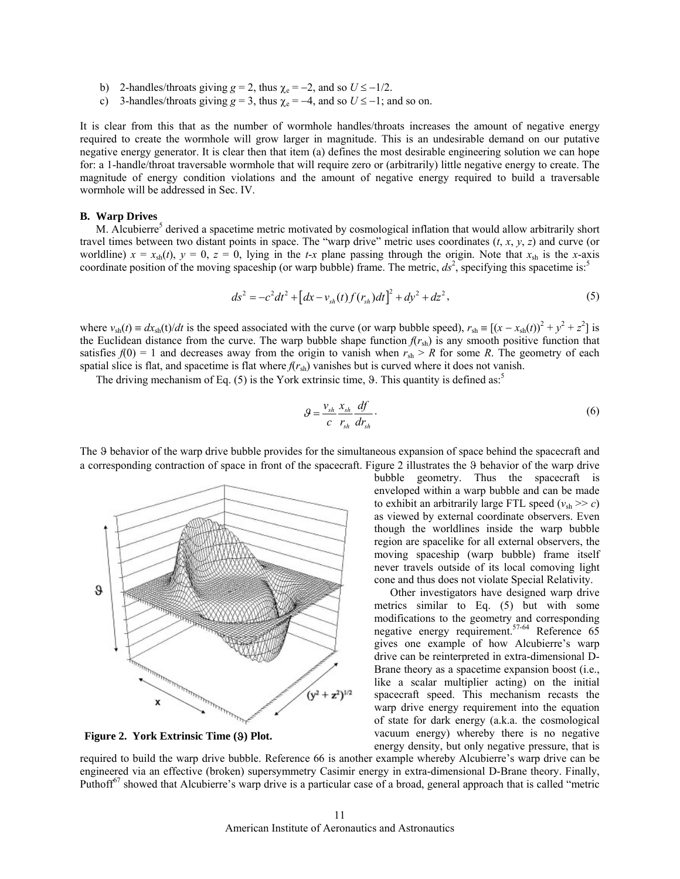- b) 2-handles/throats giving  $g = 2$ , thus  $\chi_e = -2$ , and so  $U \le -1/2$ .
- c) 3-handles/throats giving  $g = 3$ , thus  $\chi_e = -4$ , and so *U* ≤ −1; and so on.

It is clear from this that as the number of wormhole handles/throats increases the amount of negative energy required to create the wormhole will grow larger in magnitude. This is an undesirable demand on our putative negative energy generator. It is clear then that item (a) defines the most desirable engineering solution we can hope for: a 1-handle/throat traversable wormhole that will require zero or (arbitrarily) little negative energy to create. The magnitude of energy condition violations and the amount of negative energy required to build a traversable wormhole will be addressed in Sec. IV.

#### **B. Warp Drives**

M. Alcubierre<sup>5</sup> derived a spacetime metric motivated by cosmological inflation that would allow arbitrarily short travel times between two distant points in space. The "warp drive" metric uses coordinates (*t*, *x*, *y*, *z*) and curve (or worldline)  $x = x_{sh}(t)$ ,  $y = 0$ ,  $z = 0$ , lying in the *t*-*x* plane passing through the origin. Note that  $x_{sh}$  is the *x*-axis coordinate position of the moving spaceship (or warp bubble) frame. The metric,  $ds^2$ , specifying this spacetime is:<sup>5</sup>

$$
ds^{2} = -c^{2}dt^{2} + [dx - v_{sh}(t)f(r_{sh})dt]^{2} + dy^{2} + dz^{2},
$$
\n(5)

where  $v_{sh}(t) \equiv dx_{sh}(t)/dt$  is the speed associated with the curve (or warp bubble speed),  $r_{sh} \equiv [(x - x_{sh}(t))^2 + y^2 + z^2]$  is the Euclidean distance from the curve. The warp bubble shape function  $f(r_{sh})$  is any smooth positive function that satisfies  $f(0) = 1$  and decreases away from the origin to vanish when  $r_{sh} > R$  for some R. The geometry of each spatial slice is flat, and spacetime is flat where  $f(r_{sh})$  vanishes but is curved where it does not vanish.

The driving mechanism of Eq.  $(5)$  is the York extrinsic time, 9. This quantity is defined as:<sup>5</sup>

$$
\mathcal{G} = \frac{v_{sh}}{c} \frac{x_{sh}}{r_{sh}} \frac{df}{dr_{sh}}.
$$
\n(6)

The 9 behavior of the warp drive bubble provides for the simultaneous expansion of space behind the spacecraft and a corresponding contraction of space in front of the spacecraft. Figure 2 illustrates the 9 behavior of the warp drive



**Figure 2. York Extrinsic Time (**ϑ**) Plot.**

bubble geometry. Thus the spacecraft is enveloped within a warp bubble and can be made to exhibit an arbitrarily large FTL speed  $(v_{\rm sh} >> c)$ as viewed by external coordinate observers. Even though the worldlines inside the warp bubble region are spacelike for all external observers, the moving spaceship (warp bubble) frame itself never travels outside of its local comoving light cone and thus does not violate Special Relativity.

Other investigators have designed warp drive metrics similar to Eq. (5) but with some modifications to the geometry and corresponding negative energy requirement. 57-64 Reference 65 gives one example of how Alcubierre's warp drive can be reinterpreted in extra-dimensional D-Brane theory as a spacetime expansion boost (i.e., like a scalar multiplier acting) on the initial spacecraft speed. This mechanism recasts the warp drive energy requirement into the equation of state for dark energy (a.k.a. the cosmological vacuum energy) whereby there is no negative energy density, but only negative pressure, that is

required to build the warp drive bubble. Reference 66 is another example whereby Alcubierre's warp drive can be engineered via an effective (broken) supersymmetry Casimir energy in extra-dimensional D-Brane theory. Finally, Puthoff<sup>67</sup> showed that Alcubierre's warp drive is a particular case of a broad, general approach that is called "metric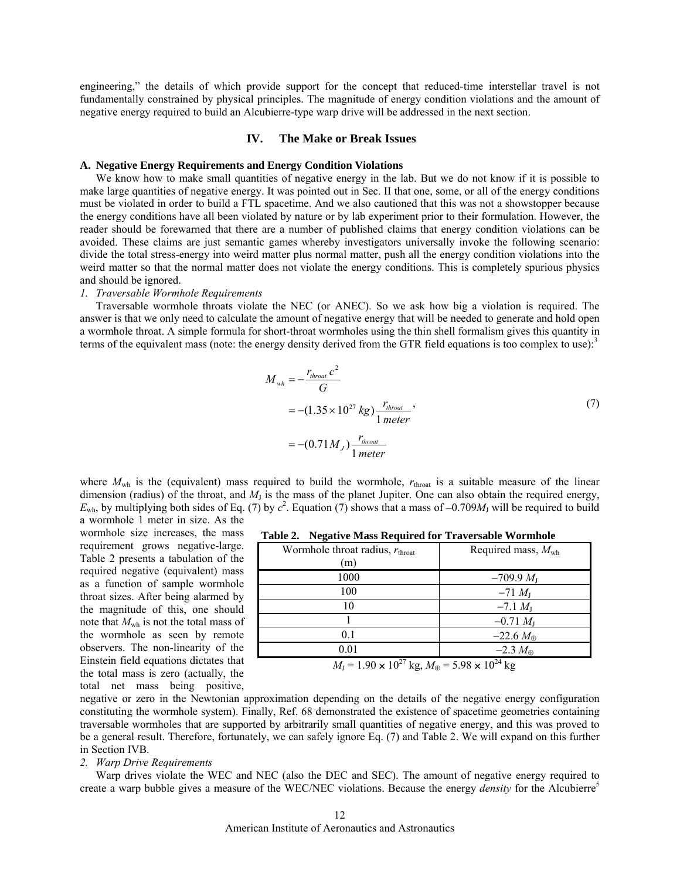engineering," the details of which provide support for the concept that reduced-time interstellar travel is not fundamentally constrained by physical principles. The magnitude of energy condition violations and the amount of negative energy required to build an Alcubierre-type warp drive will be addressed in the next section.

## **IV. The Make or Break Issues**

## **A. Negative Energy Requirements and Energy Condition Violations**

We know how to make small quantities of negative energy in the lab. But we do not know if it is possible to make large quantities of negative energy. It was pointed out in Sec. II that one, some, or all of the energy conditions must be violated in order to build a FTL spacetime. And we also cautioned that this was not a showstopper because the energy conditions have all been violated by nature or by lab experiment prior to their formulation. However, the reader should be forewarned that there are a number of published claims that energy condition violations can be avoided. These claims are just semantic games whereby investigators universally invoke the following scenario: divide the total stress-energy into weird matter plus normal matter, push all the energy condition violations into the weird matter so that the normal matter does not violate the energy conditions. This is completely spurious physics and should be ignored.

## *1. Traversable Wormhole Requirements*

Traversable wormhole throats violate the NEC (or ANEC). So we ask how big a violation is required. The answer is that we only need to calculate the amount of negative energy that will be needed to generate and hold open a wormhole throat. A simple formula for short-throat wormholes using the thin shell formalism gives this quantity in terms of the equivalent mass (note: the energy density derived from the GTR field equations is too complex to use): $3$ 

$$
M_{wh} = -\frac{r_{throat} c^2}{G}
$$
  
= -(1.35×10<sup>27</sup> kg)  $\frac{r_{throat}}{1 meter}$ ,  
= -(0.71M<sub>J</sub>)  $\frac{r_{throat}}{1 meter}$  (7)

where  $M_{wh}$  is the (equivalent) mass required to build the wormhole,  $r_{\text{throat}}$  is a suitable measure of the linear dimension (radius) of the throat, and  $M_J$  is the mass of the planet Jupiter. One can also obtain the required energy,  $E_{wh}$ , by multiplying both sides of Eq. (7) by  $c^2$ . Equation (7) shows that a mass of  $-0.709M_J$  will be required to build a wormhole 1 meter in size. As the

wormhole size increases, the mass requirement grows negative-large. Table 2 presents a tabulation of the required negative (equivalent) mass as a function of sample wormhole throat sizes. After being alarmed by the magnitude of this, one should note that *M*wh is not the total mass of the wormhole as seen by remote observers. The non-linearity of the Einstein field equations dictates that the total mass is zero (actually, the total net mass being positive,

| Table 2. Negative Mass Required for Traversable Wormhole |  |
|----------------------------------------------------------|--|
|----------------------------------------------------------|--|

| Wormhole throat radius, $r_{\text{throat}}$                                         | Required mass, $M_{wh}$ |  |
|-------------------------------------------------------------------------------------|-------------------------|--|
| (m)                                                                                 |                         |  |
| 1000                                                                                | $-709.9 M_{\rm J}$      |  |
| 100                                                                                 | $-71 M_{\rm J}$         |  |
| 10                                                                                  | $-7.1 M_{\rm I}$        |  |
|                                                                                     | $-0.71 M_{\rm J}$       |  |
| 0.1                                                                                 | $-22.6 M_{\oplus}$      |  |
| 0.01                                                                                | $-2.3$ $M_{\oplus}$     |  |
| $M_{\rm J}$ = 1.90 × 10 <sup>27</sup> kg, $M_{\oplus}$ = 5.98 × 10 <sup>24</sup> kg |                         |  |

negative or zero in the Newtonian approximation depending on the details of the negative energy configuration constituting the wormhole system). Finally, Ref. 68 demonstrated the existence of spacetime geometries containing traversable wormholes that are supported by arbitrarily small quantities of negative energy, and this was proved to be a general result. Therefore, fortunately, we can safely ignore Eq. (7) and Table 2. We will expand on this further in Section IVB.

# *2. Warp Drive Requirements*

Warp drives violate the WEC and NEC (also the DEC and SEC). The amount of negative energy required to create a warp bubble gives a measure of the WEC/NEC violations. Because the energy *density* for the Alcubierre<sup>5</sup>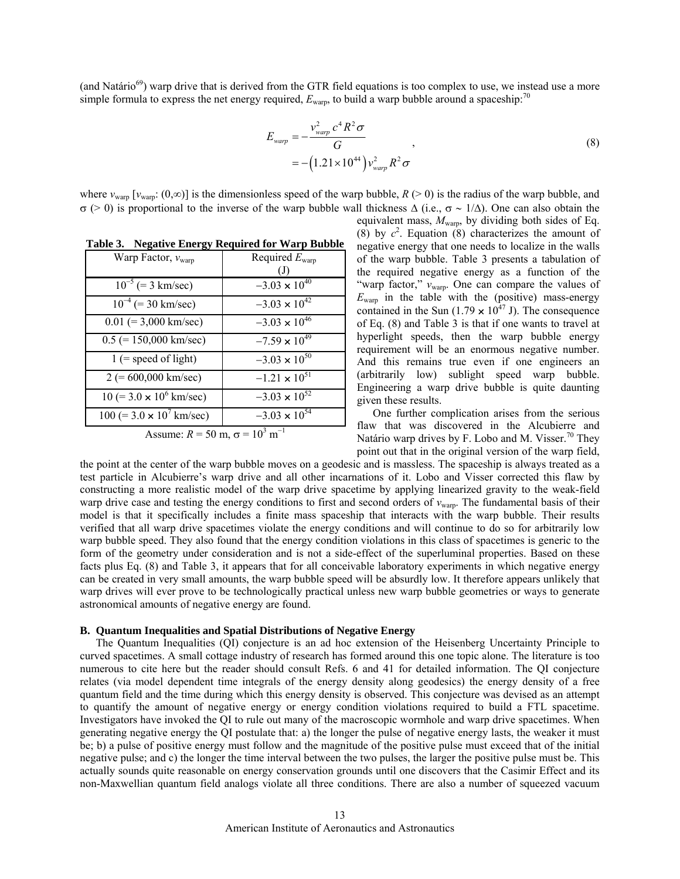(and Natário $^{69}$ ) warp drive that is derived from the GTR field equations is too complex to use, we instead use a more simple formula to express the net energy required,  $E_{\text{warp}}$ , to build a warp bubble around a spaceship:<sup>70</sup>

$$
E_{warp} = -\frac{v_{warp}^2 c^4 R^2 \sigma}{G},
$$
  
= -\left(1.21 \times 10^{44}\right) v\_{warp}^2 R^2 \sigma (8)

where  $v_{\text{warp}}$  [ $v_{\text{warp}}$ : (0,∞)] is the dimensionless speed of the warp bubble,  $R$  (> 0) is the radius of the warp bubble, and  $\sigma$  (> 0) is proportional to the inverse of the warp bubble wall thickness  $\Delta$  (i.e.,  $\sigma \sim 1/\Delta$ ). One can also obtain the

| Warp Factor, $v_{\text{warp}}$                  | Required $E_{\text{warp}}$ |  |  |
|-------------------------------------------------|----------------------------|--|--|
|                                                 |                            |  |  |
| $10^{-5}$ (= 3 km/sec)                          | $-3.03 \times 10^{40}$     |  |  |
| $10^{-4}$ (= 30 km/sec)                         | $-3.03 \times 10^{42}$     |  |  |
| $0.01$ (= 3,000 km/sec)                         | $-3.03 \times 10^{46}$     |  |  |
| $0.5$ (= 150,000 km/sec)                        | $-7.59 \times 10^{49}$     |  |  |
| $1$ (= speed of light)                          | $-3.03 \times 10^{50}$     |  |  |
| $2 (= 600,000$ km/sec)                          | $-1.21 \times 10^{51}$     |  |  |
| $10 (= 3.0 \times 10^6 \text{ km/sec})$         | $-3.03 \times 10^{52}$     |  |  |
| $100 (= 3.0 \times 10^7 \text{ km/sec})$        | $-3.03 \times 10^{54}$     |  |  |
| $10^{3} - 1$<br>$\Lambda$ counts to $D = 50$ in |                            |  |  |

**Table 3. Negative Energy Required for Warp Bubble**

Assume:  $R = 50$  m,  $\sigma = 10^3$  m<sup>-1</sup>

equivalent mass,  $M_{\text{warp}}$ , by dividing both sides of Eq.  $(8)$  by  $c^2$ . Equation  $(8)$  characterizes the amount of negative energy that one needs to localize in the walls of the warp bubble. Table 3 presents a tabulation of the required negative energy as a function of the "warp factor,"  $v_{\text{warp}}$ . One can compare the values of  $E_{\text{warp}}$  in the table with the (positive) mass-energy contained in the Sun  $(1.79 \times 10^{47} \text{ J})$ . The consequence of Eq. (8) and Table 3 is that if one wants to travel at hyperlight speeds, then the warp bubble energy requirement will be an enormous negative number. And this remains true even if one engineers an (arbitrarily low) sublight speed warp bubble. Engineering a warp drive bubble is quite daunting given these results.

One further complication arises from the serious flaw that was discovered in the Alcubierre and Natário warp drives by F. Lobo and M. Visser.<sup>70</sup> They point out that in the original version of the warp field,

the point at the center of the warp bubble moves on a geodesic and is massless. The spaceship is always treated as a test particle in Alcubierre's warp drive and all other incarnations of it. Lobo and Visser corrected this flaw by constructing a more realistic model of the warp drive spacetime by applying linearized gravity to the weak-field warp drive case and testing the energy conditions to first and second orders of *v*<sub>warp</sub>. The fundamental basis of their model is that it specifically includes a finite mass spaceship that interacts with the warp bubble. Their results verified that all warp drive spacetimes violate the energy conditions and will continue to do so for arbitrarily low warp bubble speed. They also found that the energy condition violations in this class of spacetimes is generic to the form of the geometry under consideration and is not a side-effect of the superluminal properties. Based on these facts plus Eq. (8) and Table 3, it appears that for all conceivable laboratory experiments in which negative energy can be created in very small amounts, the warp bubble speed will be absurdly low. It therefore appears unlikely that warp drives will ever prove to be technologically practical unless new warp bubble geometries or ways to generate astronomical amounts of negative energy are found.

## **B. Quantum Inequalities and Spatial Distributions of Negative Energy**

The Quantum Inequalities (QI) conjecture is an ad hoc extension of the Heisenberg Uncertainty Principle to curved spacetimes. A small cottage industry of research has formed around this one topic alone. The literature is too numerous to cite here but the reader should consult Refs. 6 and 41 for detailed information. The QI conjecture relates (via model dependent time integrals of the energy density along geodesics) the energy density of a free quantum field and the time during which this energy density is observed. This conjecture was devised as an attempt to quantify the amount of negative energy or energy condition violations required to build a FTL spacetime. Investigators have invoked the QI to rule out many of the macroscopic wormhole and warp drive spacetimes. When generating negative energy the QI postulate that: a) the longer the pulse of negative energy lasts, the weaker it must be; b) a pulse of positive energy must follow and the magnitude of the positive pulse must exceed that of the initial negative pulse; and c) the longer the time interval between the two pulses, the larger the positive pulse must be. This actually sounds quite reasonable on energy conservation grounds until one discovers that the Casimir Effect and its non-Maxwellian quantum field analogs violate all three conditions. There are also a number of squeezed vacuum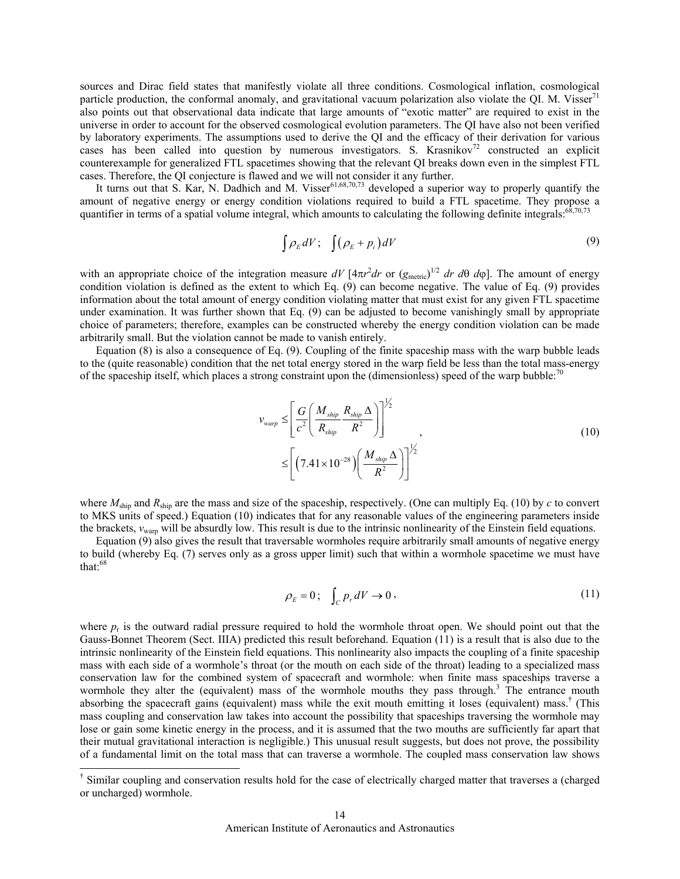sources and Dirac field states that manifestly violate all three conditions. Cosmological inflation, cosmological particle production, the conformal anomaly, and gravitational vacuum polarization also violate the QI. M. Visser $T<sup>1</sup>$ also points out that observational data indicate that large amounts of "exotic matter" are required to exist in the universe in order to account for the observed cosmological evolution parameters. The QI have also not been verified by laboratory experiments. The assumptions used to derive the QI and the efficacy of their derivation for various cases has been called into question by numerous investigators. S. Krasnikov<sup>72</sup> constructed an explicit counterexample for generalized FTL spacetimes showing that the relevant QI breaks down even in the simplest FTL cases. Therefore, the QI conjecture is flawed and we will not consider it any further.

It turns out that S. Kar, N. Dadhich and M. Visser<sup>61,68,70,73</sup> developed a superior way to properly quantify the amount of negative energy or energy condition violations required to build a FTL spacetime. They propose a quantifier in terms of a spatial volume integral, which amounts to calculating the following definite integrals: $68,70,73$ 

$$
\int \rho_E dV; \quad \int (\rho_E + p_i) dV \tag{9}
$$

with an appropriate choice of the integration measure  $dV$  [ $4\pi r^2 dr$  or  $(g_{\text{metric}})^{1/2} dr d\theta d\varphi$ ]. The amount of energy condition violation is defined as the extent to which Eq. (9) can become negative. The value of Eq. (9) provides information about the total amount of energy condition violating matter that must exist for any given FTL spacetime under examination. It was further shown that Eq. (9) can be adjusted to become vanishingly small by appropriate choice of parameters; therefore, examples can be constructed whereby the energy condition violation can be made arbitrarily small. But the violation cannot be made to vanish entirely.

Equation (8) is also a consequence of Eq. (9). Coupling of the finite spaceship mass with the warp bubble leads to the (quite reasonable) condition that the net total energy stored in the warp field be less than the total mass-energy of the spaceship itself, which places a strong constraint upon the (dimensionless) speed of the warp bubble:<sup>70</sup>

$$
\nu_{\text{warp}} \leq \left[ \frac{G}{c^2} \left( \frac{M_{\text{ship}}}{R_{\text{ship}}} \frac{R_{\text{ship}} \Delta}{R^2} \right) \right]^{1/2} \times \left[ \left( 7.41 \times 10^{-28} \right) \left( \frac{M_{\text{ship}} \Delta}{R^2} \right) \right]^{1/2} \tag{10}
$$

where  $M_{\text{shin}}$  and  $R_{\text{shin}}$  are the mass and size of the spaceship, respectively. (One can multiply Eq. (10) by *c* to convert to MKS units of speed.) Equation (10) indicates that for any reasonable values of the engineering parameters inside the brackets,  $v_{\text{warp}}$  will be absurdly low. This result is due to the intrinsic nonlinearity of the Einstein field equations.

Equation (9) also gives the result that traversable wormholes require arbitrarily small amounts of negative energy to build (whereby Eq. (7) serves only as a gross upper limit) such that within a wormhole spacetime we must have that: $68$ 

$$
\rho_E = 0 \, ; \quad \int_C p_r \, dV \to 0 \, , \tag{11}
$$

where  $p<sub>r</sub>$  is the outward radial pressure required to hold the wormhole throat open. We should point out that the Gauss-Bonnet Theorem (Sect. IIIA) predicted this result beforehand. Equation (11) is a result that is also due to the intrinsic nonlinearity of the Einstein field equations. This nonlinearity also impacts the coupling of a finite spaceship mass with each side of a wormhole's throat (or the mouth on each side of the throat) leading to a specialized mass conservation law for the combined system of spacecraft and wormhole: when finite mass spaceships traverse a wormhole they alter the (equivalent) mass of the wormhole mouths they pass through.<sup>3</sup> The entrance mouth absorbing the spacecraft gains (equivalent) mass while the exit mouth emitting it loses (equivalent) mass.<sup>[†](#page-13-0)</sup> (This mass coupling and conservation law takes into account the possibility that spaceships traversing the wormhole may lose or gain some kinetic energy in the process, and it is assumed that the two mouths are sufficiently far apart that their mutual gravitational interaction is negligible.) This unusual result suggests, but does not prove, the possibility of a fundamental limit on the total mass that can traverse a wormhole. The coupled mass conservation law shows

<span id="page-13-0"></span><sup>–&</sup>lt;br>† Similar coupling and conservation results hold for the case of electrically charged matter that traverses a (charged or uncharged) wormhole.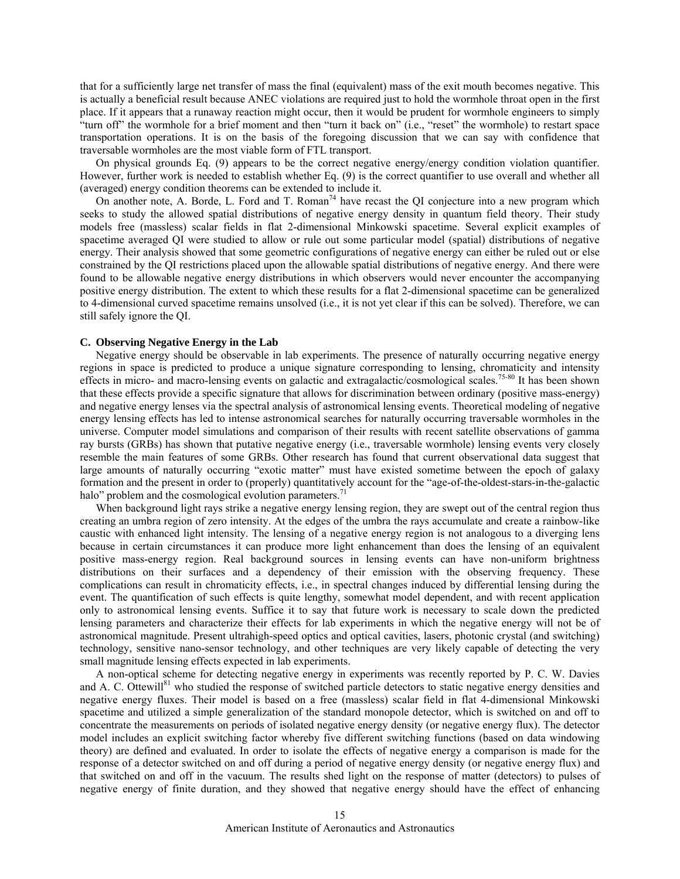that for a sufficiently large net transfer of mass the final (equivalent) mass of the exit mouth becomes negative. This is actually a beneficial result because ANEC violations are required just to hold the wormhole throat open in the first place. If it appears that a runaway reaction might occur, then it would be prudent for wormhole engineers to simply "turn off" the wormhole for a brief moment and then "turn it back on" (i.e., "reset" the wormhole) to restart space transportation operations. It is on the basis of the foregoing discussion that we can say with confidence that traversable wormholes are the most viable form of FTL transport.

On physical grounds Eq. (9) appears to be the correct negative energy/energy condition violation quantifier. However, further work is needed to establish whether Eq. (9) is the correct quantifier to use overall and whether all (averaged) energy condition theorems can be extended to include it.

On another note, A. Borde, L. Ford and T. Roman<sup>74</sup> have recast the QI conjecture into a new program which seeks to study the allowed spatial distributions of negative energy density in quantum field theory. Their study models free (massless) scalar fields in flat 2-dimensional Minkowski spacetime. Several explicit examples of spacetime averaged QI were studied to allow or rule out some particular model (spatial) distributions of negative energy. Their analysis showed that some geometric configurations of negative energy can either be ruled out or else constrained by the QI restrictions placed upon the allowable spatial distributions of negative energy. And there were found to be allowable negative energy distributions in which observers would never encounter the accompanying positive energy distribution. The extent to which these results for a flat 2-dimensional spacetime can be generalized to 4-dimensional curved spacetime remains unsolved (i.e., it is not yet clear if this can be solved). Therefore, we can still safely ignore the QI.

## **C. Observing Negative Energy in the Lab**

Negative energy should be observable in lab experiments. The presence of naturally occurring negative energy regions in space is predicted to produce a unique signature corresponding to lensing, chromaticity and intensity effects in micro- and macro-lensing events on galactic and extragalactic/cosmological scales.75-80 It has been shown that these effects provide a specific signature that allows for discrimination between ordinary (positive mass-energy) and negative energy lenses via the spectral analysis of astronomical lensing events. Theoretical modeling of negative energy lensing effects has led to intense astronomical searches for naturally occurring traversable wormholes in the universe. Computer model simulations and comparison of their results with recent satellite observations of gamma ray bursts (GRBs) has shown that putative negative energy (i.e., traversable wormhole) lensing events very closely resemble the main features of some GRBs. Other research has found that current observational data suggest that large amounts of naturally occurring "exotic matter" must have existed sometime between the epoch of galaxy formation and the present in order to (properly) quantitatively account for the "age-of-the-oldest-stars-in-the-galactic halo" problem and the cosmological evolution parameters.<sup>71</sup>

When background light rays strike a negative energy lensing region, they are swept out of the central region thus creating an umbra region of zero intensity. At the edges of the umbra the rays accumulate and create a rainbow-like caustic with enhanced light intensity. The lensing of a negative energy region is not analogous to a diverging lens because in certain circumstances it can produce more light enhancement than does the lensing of an equivalent positive mass-energy region. Real background sources in lensing events can have non-uniform brightness distributions on their surfaces and a dependency of their emission with the observing frequency. These complications can result in chromaticity effects, i.e., in spectral changes induced by differential lensing during the event. The quantification of such effects is quite lengthy, somewhat model dependent, and with recent application only to astronomical lensing events. Suffice it to say that future work is necessary to scale down the predicted lensing parameters and characterize their effects for lab experiments in which the negative energy will not be of astronomical magnitude. Present ultrahigh-speed optics and optical cavities, lasers, photonic crystal (and switching) technology, sensitive nano-sensor technology, and other techniques are very likely capable of detecting the very small magnitude lensing effects expected in lab experiments.

A non-optical scheme for detecting negative energy in experiments was recently reported by P. C. W. Davies and A. C. Ottewill<sup>81</sup> who studied the response of switched particle detectors to static negative energy densities and negative energy fluxes. Their model is based on a free (massless) scalar field in flat 4-dimensional Minkowski spacetime and utilized a simple generalization of the standard monopole detector, which is switched on and off to concentrate the measurements on periods of isolated negative energy density (or negative energy flux). The detector model includes an explicit switching factor whereby five different switching functions (based on data windowing theory) are defined and evaluated. In order to isolate the effects of negative energy a comparison is made for the response of a detector switched on and off during a period of negative energy density (or negative energy flux) and that switched on and off in the vacuum. The results shed light on the response of matter (detectors) to pulses of negative energy of finite duration, and they showed that negative energy should have the effect of enhancing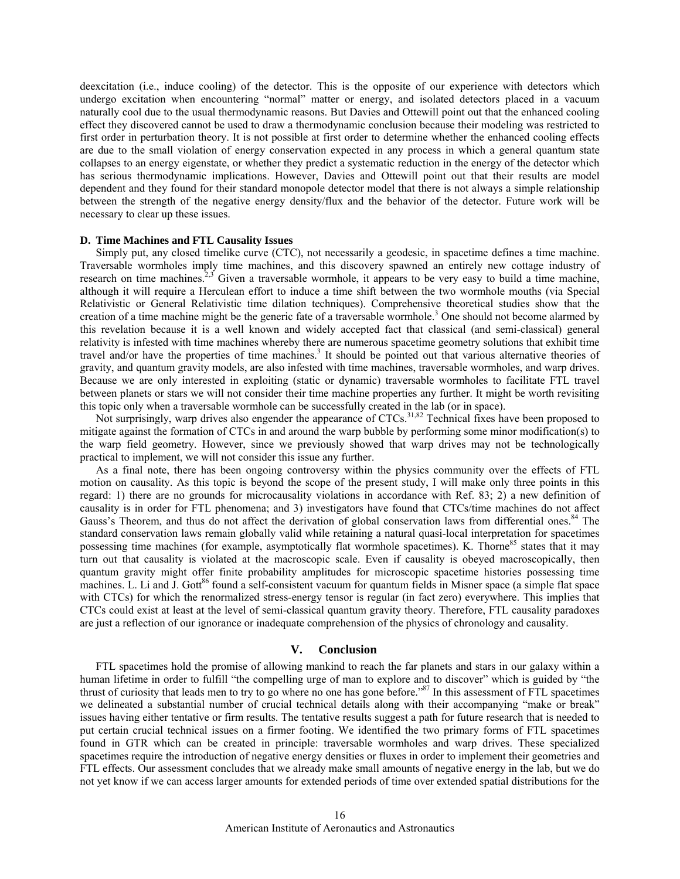deexcitation (i.e., induce cooling) of the detector. This is the opposite of our experience with detectors which undergo excitation when encountering "normal" matter or energy, and isolated detectors placed in a vacuum naturally cool due to the usual thermodynamic reasons. But Davies and Ottewill point out that the enhanced cooling effect they discovered cannot be used to draw a thermodynamic conclusion because their modeling was restricted to first order in perturbation theory. It is not possible at first order to determine whether the enhanced cooling effects are due to the small violation of energy conservation expected in any process in which a general quantum state collapses to an energy eigenstate, or whether they predict a systematic reduction in the energy of the detector which has serious thermodynamic implications. However, Davies and Ottewill point out that their results are model dependent and they found for their standard monopole detector model that there is not always a simple relationship between the strength of the negative energy density/flux and the behavior of the detector. Future work will be necessary to clear up these issues.

#### **D. Time Machines and FTL Causality Issues**

Simply put, any closed timelike curve (CTC), not necessarily a geodesic, in spacetime defines a time machine. Traversable wormholes imply time machines, and this discovery spawned an entirely new cottage industry of research on time machines.<sup>2,3</sup> Given a traversable wormhole, it appears to be very easy to build a time machine, although it will require a Herculean effort to induce a time shift between the two wormhole mouths (via Special Relativistic or General Relativistic time dilation techniques). Comprehensive theoretical studies show that the creation of a time machine might be the generic fate of a traversable wormhole.<sup>3</sup> One should not become alarmed by this revelation because it is a well known and widely accepted fact that classical (and semi-classical) general relativity is infested with time machines whereby there are numerous spacetime geometry solutions that exhibit time travel and/or have the properties of time machines.<sup>3</sup> It should be pointed out that various alternative theories of gravity, and quantum gravity models, are also infested with time machines, traversable wormholes, and warp drives. Because we are only interested in exploiting (static or dynamic) traversable wormholes to facilitate FTL travel between planets or stars we will not consider their time machine properties any further. It might be worth revisiting this topic only when a traversable wormhole can be successfully created in the lab (or in space).

Not surprisingly, warp drives also engender the appearance of CTCs.<sup>31,82</sup> Technical fixes have been proposed to mitigate against the formation of CTCs in and around the warp bubble by performing some minor modification(s) to the warp field geometry. However, since we previously showed that warp drives may not be technologically practical to implement, we will not consider this issue any further.

As a final note, there has been ongoing controversy within the physics community over the effects of FTL motion on causality. As this topic is beyond the scope of the present study, I will make only three points in this regard: 1) there are no grounds for microcausality violations in accordance with Ref. 83; 2) a new definition of causality is in order for FTL phenomena; and 3) investigators have found that CTCs/time machines do not affect Gauss's Theorem, and thus do not affect the derivation of global conservation laws from differential ones.<sup>84</sup> The standard conservation laws remain globally valid while retaining a natural quasi-local interpretation for spacetimes possessing time machines (for example, asymptotically flat wormhole spacetimes). K. Thorne<sup>85</sup> states that it may turn out that causality is violated at the macroscopic scale. Even if causality is obeyed macroscopically, then quantum gravity might offer finite probability amplitudes for microscopic spacetime histories possessing time machines. L. Li and J. Gott<sup>86</sup> found a self-consistent vacuum for quantum fields in Misner space (a simple flat space with CTCs) for which the renormalized stress-energy tensor is regular (in fact zero) everywhere. This implies that CTCs could exist at least at the level of semi-classical quantum gravity theory. Therefore, FTL causality paradoxes are just a reflection of our ignorance or inadequate comprehension of the physics of chronology and causality.

#### **V. Conclusion**

FTL spacetimes hold the promise of allowing mankind to reach the far planets and stars in our galaxy within a human lifetime in order to fulfill "the compelling urge of man to explore and to discover" which is guided by "the thrust of curiosity that leads men to try to go where no one has gone before."87 In this assessment of FTL spacetimes we delineated a substantial number of crucial technical details along with their accompanying "make or break" issues having either tentative or firm results. The tentative results suggest a path for future research that is needed to put certain crucial technical issues on a firmer footing. We identified the two primary forms of FTL spacetimes found in GTR which can be created in principle: traversable wormholes and warp drives. These specialized spacetimes require the introduction of negative energy densities or fluxes in order to implement their geometries and FTL effects. Our assessment concludes that we already make small amounts of negative energy in the lab, but we do not yet know if we can access larger amounts for extended periods of time over extended spatial distributions for the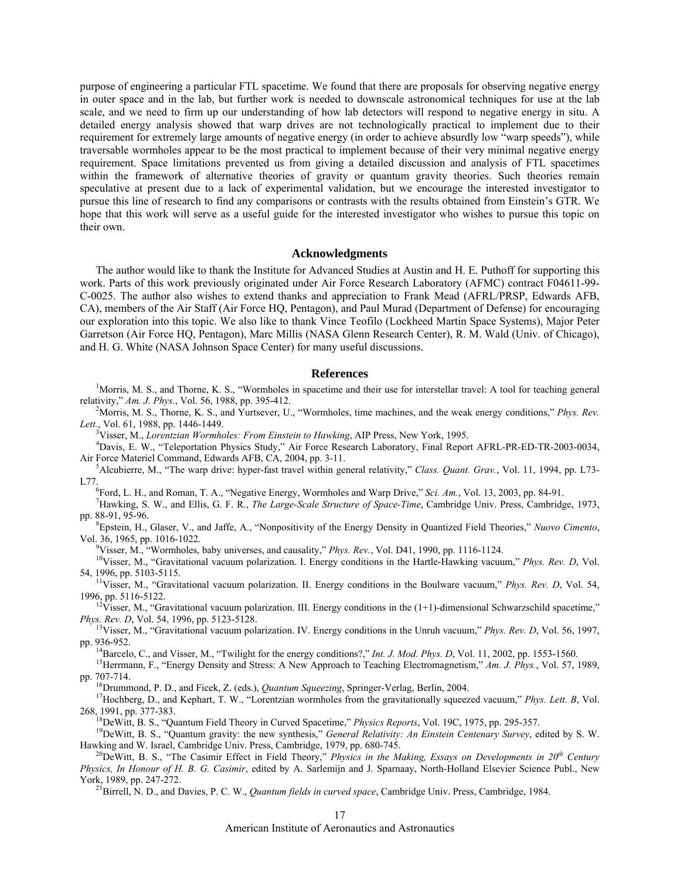purpose of engineering a particular FTL spacetime. We found that there are proposals for observing negative energy in outer space and in the lab, but further work is needed to downscale astronomical techniques for use at the lab scale, and we need to firm up our understanding of how lab detectors will respond to negative energy in situ. A detailed energy analysis showed that warp drives are not technologically practical to implement due to their requirement for extremely large amounts of negative energy (in order to achieve absurdly low "warp speeds"), while traversable wormholes appear to be the most practical to implement because of their very minimal negative energy requirement. Space limitations prevented us from giving a detailed discussion and analysis of FTL spacetimes within the framework of alternative theories of gravity or quantum gravity theories. Such theories remain speculative at present due to a lack of experimental validation, but we encourage the interested investigator to pursue this line of research to find any comparisons or contrasts with the results obtained from Einstein's GTR. We hope that this work will serve as a useful guide for the interested investigator who wishes to pursue this topic on their own.

## **Acknowledgments**

The author would like to thank the Institute for Advanced Studies at Austin and H. E. Puthoff for supporting this work. Parts of this work previously originated under Air Force Research Laboratory (AFMC) contract F04611-99- C-0025. The author also wishes to extend thanks and appreciation to Frank Mead (AFRL/PRSP, Edwards AFB, CA), members of the Air Staff (Air Force HQ, Pentagon), and Paul Murad (Department of Defense) for encouraging our exploration into this topic. We also like to thank Vince Teofilo (Lockheed Martin Space Systems), Major Peter Garretson (Air Force HQ, Pentagon), Marc Millis (NASA Glenn Research Center), R. M. Wald (Univ. of Chicago), and H. G. White (NASA Johnson Space Center) for many useful discussions.

#### **References**

<sup>1</sup>Morris, M. S., and Thorne, K. S., "Wormholes in spacetime and their use for interstellar travel: A tool for teaching general relativity," *Am. J. Phys.*, Vol. 56, 1988, pp. 395-412.

Morris, M. S., Thorne, K. S., and Yurtsever, U., "Wormholes, time machines, and the weak energy conditions," *Phys. Rev.* Lett., Vol. 61, 1988, pp. 1446-1449.

<sup>3</sup>Visser, M., *Lorentzian Wormholes: From Einstein to Hawking*, AIP Press, New York, 1995.

<sup>4</sup>Davis, E. W., "Teleportation Physics Study," Air Force Research Laboratory, Final Report AFRL-PR-ED-TR-2003-0034, Air Force Materiel Command, Edwards AFB, CA, 2004, pp. 3-11.

Alcubierre, M., "The warp drive: hyper-fast travel within general relativity," *Class. Quant. Grav.*, Vol. 11, 1994, pp. L73- **L77** 

Ford, L. H., and Roman, T. A., "Negative Energy, Wormholes and Warp Drive," *Sci. Am.*, Vol. 13, 2003, pp. 84-91. 7

Hawking, S. W., and Ellis, G. F. R., *The Large-Scale Structure of Space-Time*, Cambridge Univ. Press, Cambridge, 1973, pp. 88-91, 95-96.

Epstein, H., Glaser, V., and Jaffe, A., "Nonpositivity of the Energy Density in Quantized Field Theories," *Nuovo Cimento*, Vol. 36, 1965, pp. 1016-1022. 9

<sup>9</sup>Visser, M., "Wormholes, baby universes, and causality," *Phys. Rev.*, Vol. D41, 1990, pp. 1116-1124.<br><sup>10</sup>Visser, M., "Gravitational vacuum polarization. I. Energy conditions in the Hartle-Hawking vacuum," *Phys. Rev. D* 

<sup>11</sup>Visser, M., "Gravitational vacuum polarization. II. Energy conditions in the Boulware vacuum," *Phys. Rev. D*, Vol. 54, 1996, pp. 5116-5122.<br><sup>12</sup>Visser, M., "Gravitational vacuum polarization. III. Energy conditions in the (1+1)-dimensional Schwarzschild spacetime,"

*Phys. Rev. D*, Vol. 54, 1996, pp. 5123-5128.<br><sup>13</sup>Visser, M., "Gravitational vacuum polarization. IV. Energy conditions in the Unruh vacuum," *Phys. Rev. D*, Vol. 56, 1997,

pp. 936-952.<br><sup>14</sup>Barcelo, C., and Visser, M., "Twilight for the energy conditions?," *Int. J. Mod. Phys. D*, Vol. 11, 2002, pp. 1553-1560.<br><sup>15</sup>Herrmann, F., "Energy Density and Stress: A New Approach to Teaching Electromag

<sup>16</sup>Drummond, P. D., and Ficek, Z. (eds.), *Quantum Squeezing*, Springer-Verlag, Berlin, 2004.<br><sup>17</sup>Hochberg, D., and Kephart, T. W., "Lorentzian wormholes from the gravitationally squeezed vacuum," *Phys. Lett. B.* Vol.

268, 1991, pp. 377-383.<br><sup>18</sup>DeWitt, B. S., "Quantum Field Theory in Curved Spacetime," *Physics Reports*, Vol. 19C, 1975, pp. 295-357.<br><sup>19</sup>DeWitt, B. S., "Quantum gravity: the new synthesis," *General Relativity: An Einste* 

<sup>20</sup>DeWitt, B. S., "The Casimir Effect in Field Theory," *Physics in the Making, Essays on Developments in 20<sup>th</sup> Century Physics, In Honour of H. B. G. Casimir*, edited by A. Sarlemijn and J. Sparnaay, North-Holland Elsevier Science Publ., New

<sup>21</sup>Birrell, N. D., and Davies, P. C. W., *Quantum fields in curved space*, Cambridge Univ. Press, Cambridge, 1984.

American Institute of Aeronautics and Astronautics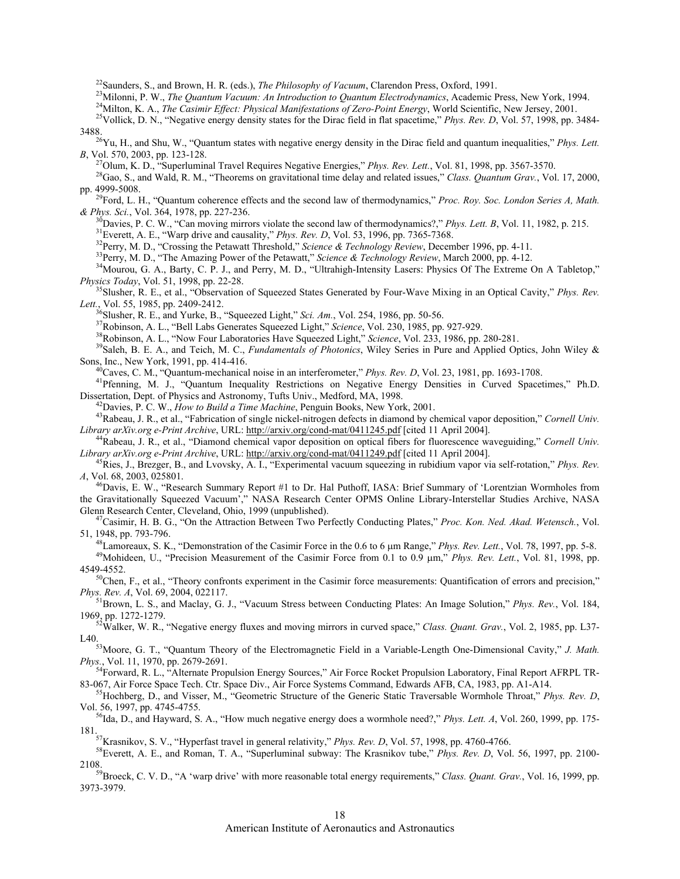<sup>22</sup>Saunders, S., and Brown, H. R. (eds.), *The Philosophy of Vacuum*, Clarendon Press, Oxford, 1991.<br><sup>23</sup>Milonni, P. W., *The Quantum Vacuum: An Introduction to Quantum Electrodynamics*, Academic Press, New York, 1994.<br><sup></sup>

3488. 26Yu, H., and Shu, W., "Quantum states with negative energy density in the Dirac field and quantum inequalities," *Phys. Lett.*

B, Vol. 570, 2003, pp. 123-128.<br><sup>27</sup>Olum, K. D., "Superluminal Travel Requires Negative Energies," *Phys. Rev. Lett.*, Vol. 81, 1998, pp. 3567-3570.<br><sup>28</sup>Gao, S., and Wald, R. M., "Theorems on gravitational time delay and r

pp. 4999-5008.<br><sup>29</sup>Ford, L. H., "Quantum coherence effects and the second law of thermodynamics," *Proc. Roy. Soc. London Series A, Math.* & *Phys. Sci.*, Vol. 364, 1978, pp. 227-236.

<sup>36</sup>Davies, P. C. W., "Can moving mirrors violate the second law of thermodynamics?," Phys. Lett. B, Vol. 11, 1982, p. 215.<br><sup>31</sup>Everett, A. E., "Warp drive and causality," Phys. Rev. D, Vol. 53, 1996, pp. 7365-7368.<br><sup>32</sup>P

<sup>35</sup>Slusher, R. E., et al., "Observation of Squeezed States Generated by Four-Wave Mixing in an Optical Cavity," *Phys. Rev.* 

Lett., Vol. 55, 1985, pp. 2409-2412.<br><sup>36</sup>Slusher, R. E., and Yurke, B., "Squeezed Light," Sci. Am., Vol. 254, 1986, pp. 50-56.<br><sup>37</sup>Robinson, A. L., "Bell Labs Generates Squeezed Light," Science, Vol. 230, 1985, pp. 927-929

<sup>40</sup>Caves, C. M., "Quantum-mechanical noise in an interferometer," *Phys. Rev. D*, Vol. 23, 1981, pp. 1693-1708.<br><sup>41</sup>Pfenning, M. J., "Quantum Inequality Restrictions on Negative Energy Densities in Curved Spacetimes," Ph

<sup>42</sup>Davies, P. C. W., *How to Build a Time Machine*, Penguin Books, New York, 2001.<br><sup>43</sup>Rabeau, J. R., et al., "Fabrication of single nickel-nitrogen defects in diamond by chemical vapor deposition," Cornell Univ.<br>*Librar* 

<sup>44</sup>Rabeau, J. R., et al., "Diamond chemical vapor deposition on optical fibers for fluorescence waveguiding," Cornell Univ.<br>Library arXiv.org e-Print Archive, URL: http://arxiv.org/cond-mat/0411249.pdf [cited 11 April 200

<sup>45</sup>Ries, J., Brezger, B., and Lvovsky, A. I., "Experimental vacuum squeezing in rubidium vapor via self-rotation," Phys. Rev. A, Vol. 68, 2003, 025801.

<sup>46</sup>Davis, E. W., "Research Summary Report #1 to Dr. Hal Puthoff, IASA: Brief Summary of 'Lorentzian Wormholes from the Gravitationally Squeezed Vacuum'," NASA Research Center OPMS Online Library-Interstellar Studies Archive, NASA Glenn Research Center, Cleveland, Ohio, 1999 (unpublished). 47Casimir, H. B. G., "On the Attraction Between Two Perfectly Conducting Plates," *Proc. Kon. Ned. Akad. Wetensch.*, Vol.

51, 1948, pp. 793-796.<br><sup>48</sup> Lamoreaux, S. K., "Demonstration of the Casimir Force in the 0.6 to 6  $\mu$ m Range," *Phys. Rev. Lett.*, Vol. 78, 1997, pp. 5-8.<br><sup>49</sup> Mohideen. U. "Precision Measurement of the Casimir Force fro 4549-4552.<br><sup>50</sup>Chen, F., et al., "Theory confronts experiment in the Casimir force measurements: Quantification of errors and precision,"

*Phys. Rev. A*, Vol. 69, 2004, 022117.<br><sup>51</sup>Brown, L. S., and Maclay, G. J., "Vacuum Stress between Conducting Plates: An Image Solution," *Phys. Rev.*, Vol. 184,

1969, pp. 1272-1279. 52Walker, W. R., "Negative energy fluxes and moving mirrors in curved space," *Class. Quant. Grav.*, Vol. 2, 1985, pp. L37-

L40. 53Moore, G. T., "Quantum Theory of the Electromagnetic Field in a Variable-Length One-Dimensional Cavity," *J. Math.*

*Phys.*, Vol. 11, 1970, pp. 2679-2691.<br><sup>54</sup>Forward, R. L., "Alternate Propulsion Energy Sources," Air Force Rocket Propulsion Laboratory, Final Report AFRPL TR-<br>83-067, Air Force Space Tech. Ctr. Space Div., Air Force Syst

<sup>55</sup>Hochberg, D., and Visser, M., "Geometric Structure of the Generic Static Traversable Wormhole Throat," Phys. Rev. D, Vol. 56, 1997, pp. 4745-4755.

 $^{56}$ Ida, D., and Hayward, S. A., "How much negative energy does a wormhole need?," *Phys. Lett. A*, Vol. 260, 1999, pp. 175-<sup>57</sup>Krasnikov, S. V., "Hyperfast travel in general relativity," *Phys. Rev. D*, Vol. 57, 1998, pp. 4760-4766.<br><sup>58</sup>Everett, A. E., and Roman, T. A., "Superluminal subway: The Krasnikov tube," *Phys. Rev. D*, Vol. 56, 1997,

2108. 59Broeck, C. V. D., "A 'warp drive' with more reasonable total energy requirements," *Class. Quant. Grav.*, Vol. 16, 1999, pp. 3973-3979.